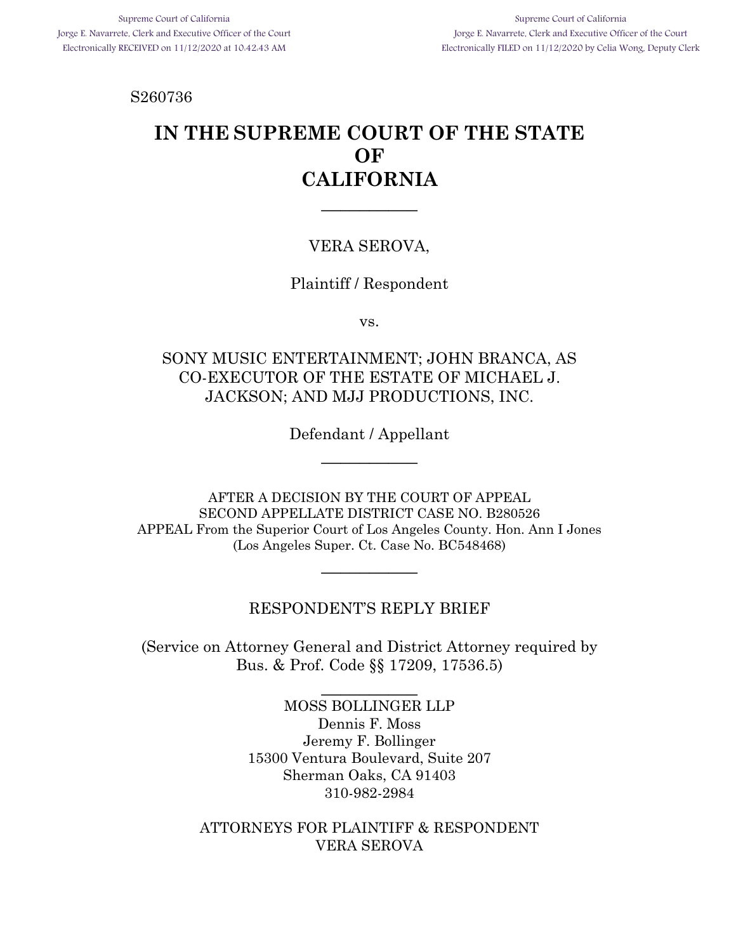S260736

# **IN THE SUPREME COURT OF THE STATE OF CALIFORNIA**

 $\overline{\phantom{a}}$ 

### VERA SEROVA,

### Plaintiff / Respondent

vs.

### SONY MUSIC ENTERTAINMENT; JOHN BRANCA, AS CO-EXECUTOR OF THE ESTATE OF MICHAEL J. JACKSON; AND MJJ PRODUCTIONS, INC.

Defendant / Appellant  $\overline{\phantom{a}}$ 

AFTER A DECISION BY THE COURT OF APPEAL SECOND APPELLATE DISTRICT CASE NO. B280526 APPEAL From the Superior Court of Los Angeles County. Hon. Ann I Jones (Los Angeles Super. Ct. Case No. BC548468)

\_\_\_\_\_\_\_\_\_\_

### RESPONDENT'S REPLY BRIEF

(Service on Attorney General and District Attorney required by Bus. & Prof. Code §§ 17209, 17536.5)

 $\overline{\phantom{a}}$ 

MOSS BOLLINGER LLP Dennis F. Moss Jeremy F. Bollinger 15300 Ventura Boulevard, Suite 207 Sherman Oaks, CA 91403 310-982-2984

ATTORNEYS FOR PLAINTIFF & RESPONDENT VERA SEROVA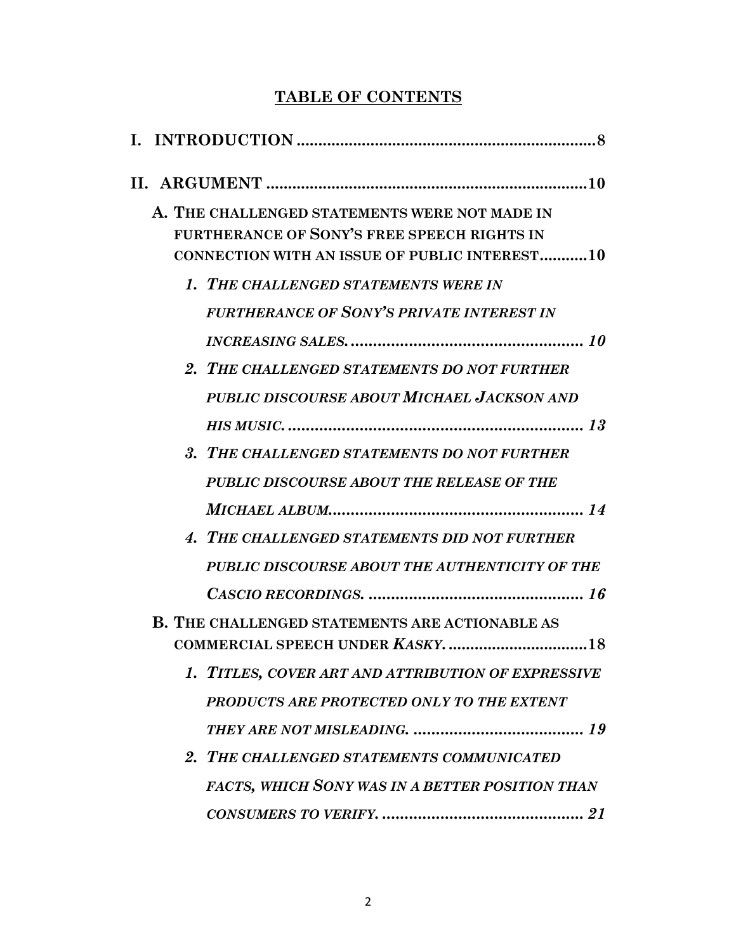## **TABLE OF CONTENTS**

| A. THE CHALLENGED STATEMENTS WERE NOT MADE IN<br>FURTHERANCE OF SONY'S FREE SPEECH RIGHTS IN<br><b>CONNECTION WITH AN ISSUE OF PUBLIC INTEREST10</b> |
|------------------------------------------------------------------------------------------------------------------------------------------------------|
| 1. THE CHALLENGED STATEMENTS WERE IN                                                                                                                 |
| <b>FURTHERANCE OF SONY'S PRIVATE INTEREST IN</b>                                                                                                     |
|                                                                                                                                                      |
| 2. THE CHALLENGED STATEMENTS DO NOT FURTHER                                                                                                          |
| PUBLIC DISCOURSE ABOUT MICHAEL JACKSON AND                                                                                                           |
|                                                                                                                                                      |
| 3. THE CHALLENGED STATEMENTS DO NOT FURTHER                                                                                                          |
| PUBLIC DISCOURSE ABOUT THE RELEASE OF THE                                                                                                            |
|                                                                                                                                                      |
| 4. THE CHALLENGED STATEMENTS DID NOT FURTHER                                                                                                         |
| PUBLIC DISCOURSE ABOUT THE AUTHENTICITY OF THE                                                                                                       |
|                                                                                                                                                      |
| <b>B. THE CHALLENGED STATEMENTS ARE ACTIONABLE AS</b>                                                                                                |
| 1. TITLES, COVER ART AND ATTRIBUTION OF EXPRESSIVE                                                                                                   |
| PRODUCTS ARE PROTECTED ONLY TO THE EXTENT                                                                                                            |
|                                                                                                                                                      |
| 2. THE CHALLENGED STATEMENTS COMMUNICATED                                                                                                            |
| <b>FACTS, WHICH SONY WAS IN A BETTER POSITION THAN</b>                                                                                               |
|                                                                                                                                                      |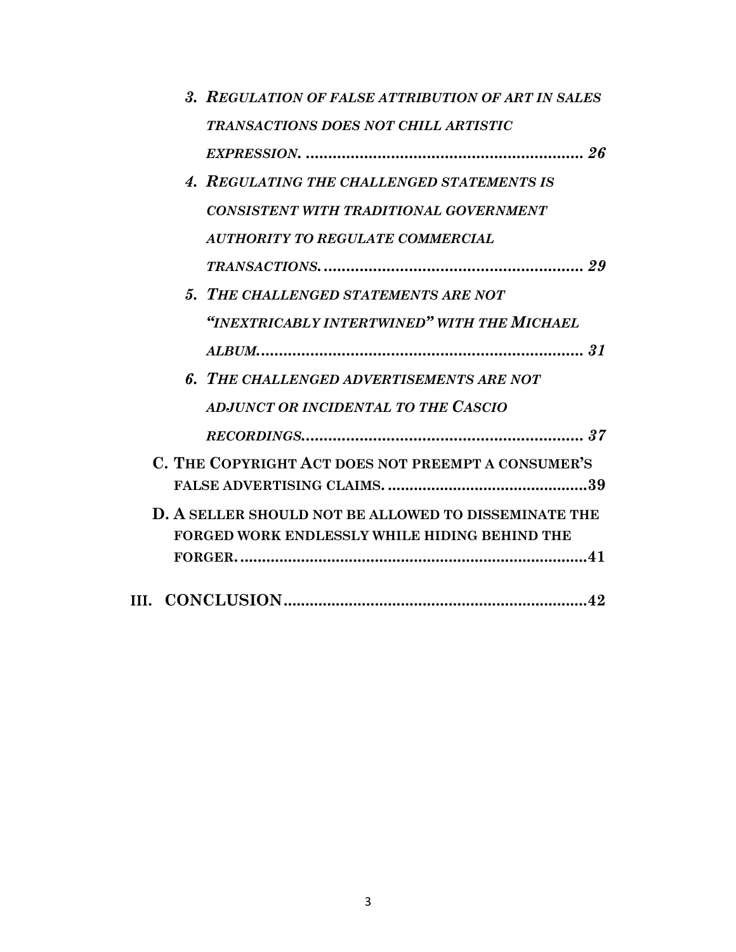| 3. REGULATION OF FALSE ATTRIBUTION OF ART IN SALES          |
|-------------------------------------------------------------|
| <b>TRANSACTIONS DOES NOT CHILL ARTISTIC</b>                 |
|                                                             |
| 4. REGULATING THE CHALLENGED STATEMENTS IS                  |
| CONSISTENT WITH TRADITIONAL GOVERNMENT                      |
| <b>AUTHORITY TO REGULATE COMMERCIAL</b>                     |
|                                                             |
| 5. THE CHALLENGED STATEMENTS ARE NOT                        |
| "INEXTRICABLY INTERTWINED" WITH THE MICHAEL                 |
|                                                             |
| 6. THE CHALLENGED ADVERTISEMENTS ARE NOT                    |
| ADJUNCT OR INCIDENTAL TO THE CASCIO                         |
|                                                             |
| C. THE COPYRIGHT ACT DOES NOT PREEMPT A CONSUMER'S          |
|                                                             |
| <b>D. A SELLER SHOULD NOT BE ALLOWED TO DISSEMINATE THE</b> |
| <b>FORGED WORK ENDLESSLY WHILE HIDING BEHIND THE</b>        |
|                                                             |
|                                                             |
|                                                             |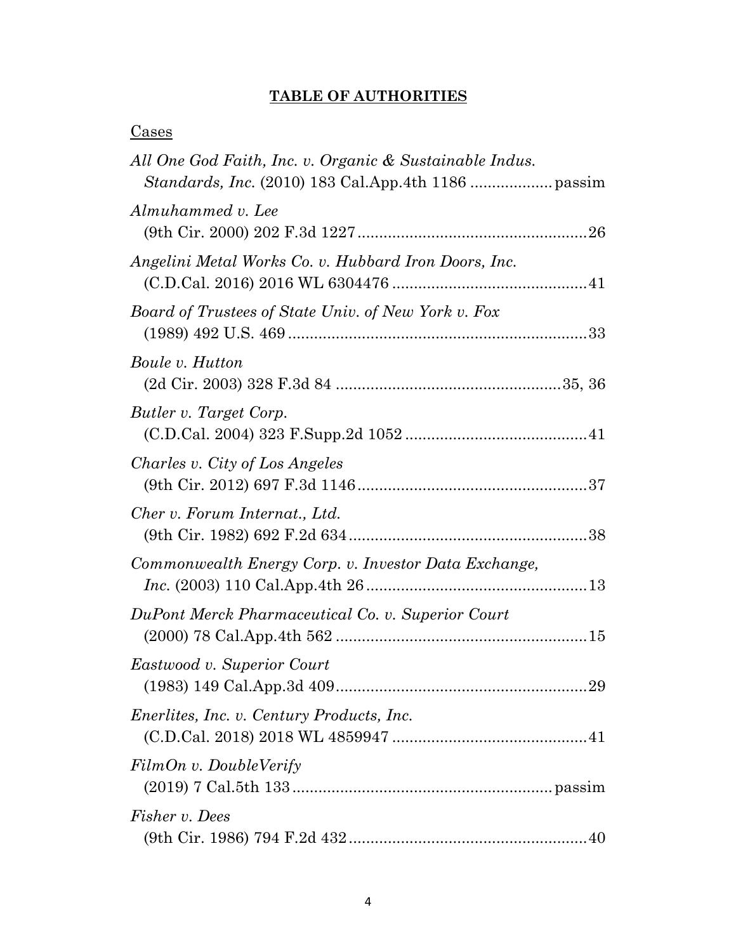## **TABLE OF AUTHORITIES**

| <u>Cases</u>                                            |  |
|---------------------------------------------------------|--|
| All One God Faith, Inc. v. Organic & Sustainable Indus. |  |
| Almuhammed v. Lee                                       |  |
| Angelini Metal Works Co. v. Hubbard Iron Doors, Inc.    |  |
| Board of Trustees of State Univ. of New York v. Fox     |  |
| Boule v. Hutton                                         |  |
| Butler v. Target Corp.                                  |  |
| Charles v. City of Los Angeles                          |  |
| Cher v. Forum Internat., Ltd.                           |  |
| Commonwealth Energy Corp. v. Investor Data Exchange,    |  |
| DuPont Merck Pharmaceutical Co. v. Superior Court       |  |
| Eastwood v. Superior Court                              |  |
| <i>Enerlites, Inc. v. Century Products, Inc.</i>        |  |
| FilmOn v. DoubleVerify                                  |  |
| <i>Fisher v. Dees</i>                                   |  |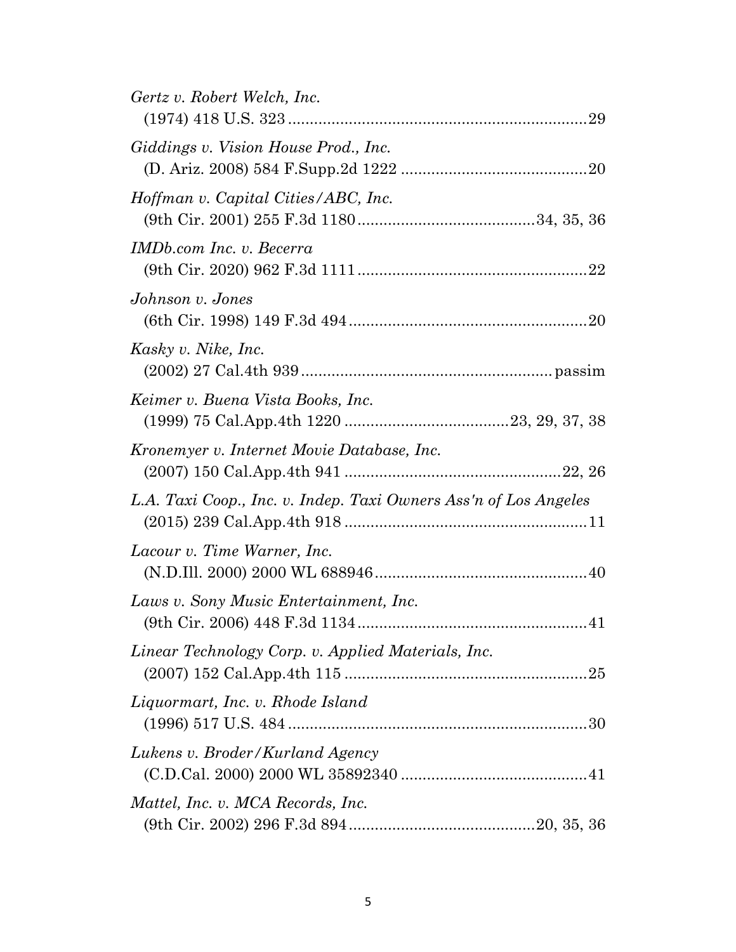| Gertz v. Robert Welch, Inc.<br>29                                |
|------------------------------------------------------------------|
| Giddings v. Vision House Prod., Inc.                             |
| Hoffman v. Capital Cities/ABC, Inc.                              |
| IMDb.com Inc. v. Becerra                                         |
| Johnson v. Jones                                                 |
| Kasky v. Nike, Inc.                                              |
| Keimer v. Buena Vista Books, Inc.                                |
| Kronemyer v. Internet Movie Database, Inc.                       |
| L.A. Taxi Coop., Inc. v. Indep. Taxi Owners Ass'n of Los Angeles |
| Lacour v. Time Warner, Inc.                                      |
| Laws v. Sony Music Entertainment, Inc.                           |
| Linear Technology Corp. v. Applied Materials, Inc.               |
| Liquormart, Inc. v. Rhode Island                                 |
| Lukens v. Broder/Kurland Agency                                  |
| Mattel, Inc. v. MCA Records, Inc.                                |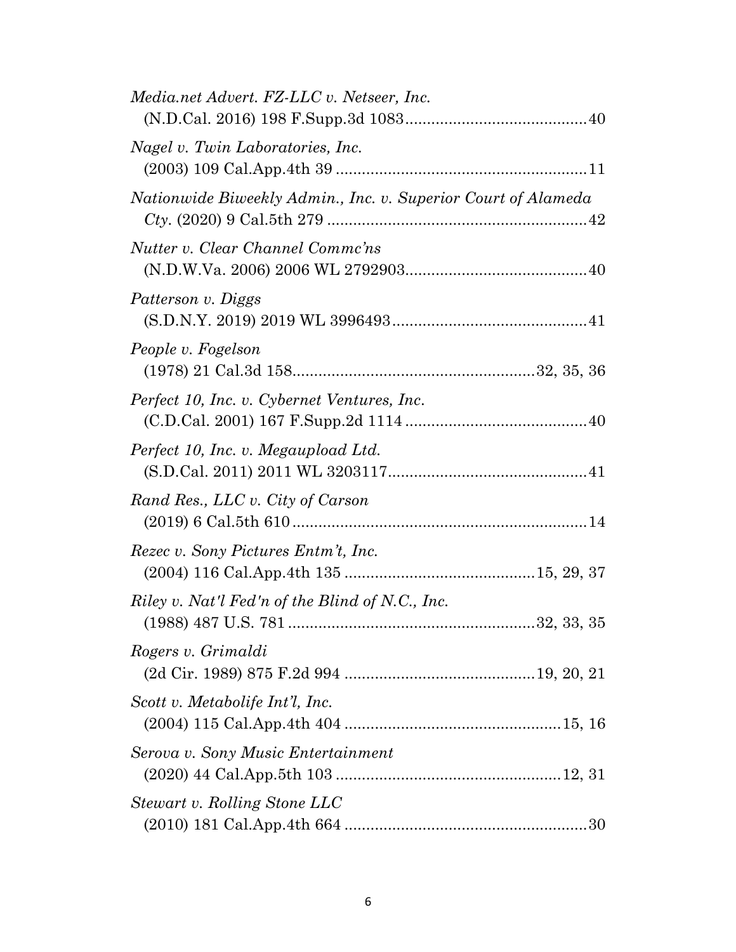| Media.net Advert. FZ-LLC v. Netseer, Inc.                                  |  |
|----------------------------------------------------------------------------|--|
| Nagel v. Twin Laboratories, Inc.                                           |  |
| Nationwide Biweekly Admin., Inc. v. Superior Court of Alameda              |  |
| Nutter v. Clear Channel Commc'ns                                           |  |
| Patterson v. Diggs                                                         |  |
| People v. Fogelson                                                         |  |
| Perfect 10, Inc. v. Cybernet Ventures, Inc.                                |  |
| Perfect 10, Inc. v. Megaupload Ltd.<br>$(S.D.Cal. 2011) 2011 WL 320311741$ |  |
| Rand Res., LLC v. City of Carson                                           |  |
| Rezec v. Sony Pictures Entm't, Inc.                                        |  |
| Riley v. Nat'l Fed'n of the Blind of N.C., Inc.                            |  |
| Rogers v. Grimaldi                                                         |  |
| Scott v. Metabolife Int'l, Inc.                                            |  |
| Serova v. Sony Music Entertainment                                         |  |
| Stewart v. Rolling Stone LLC                                               |  |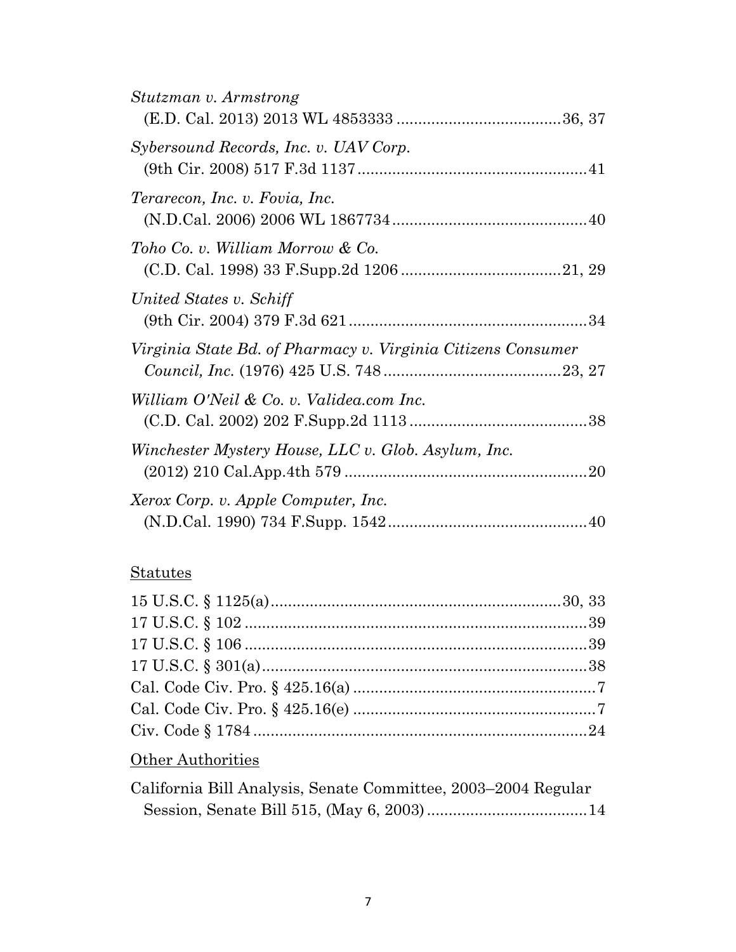| Stutzman v. Armstrong                                        |  |
|--------------------------------------------------------------|--|
| Sybersound Records, Inc. v. UAV Corp.                        |  |
| Terarecon, Inc. v. Fovia, Inc.                               |  |
| Toho Co. v. William Morrow & Co.                             |  |
| United States v. Schiff                                      |  |
| Virginia State Bd. of Pharmacy v. Virginia Citizens Consumer |  |
| William O'Neil & Co. v. Validea.com Inc.                     |  |
| Winchester Mystery House, LLC v. Glob. Asylum, Inc.          |  |
| Xerox Corp. v. Apple Computer, Inc.                          |  |

## **Statutes**

## **Other Authorities**

| California Bill Analysis, Senate Committee, 2003–2004 Regular |  |
|---------------------------------------------------------------|--|
|                                                               |  |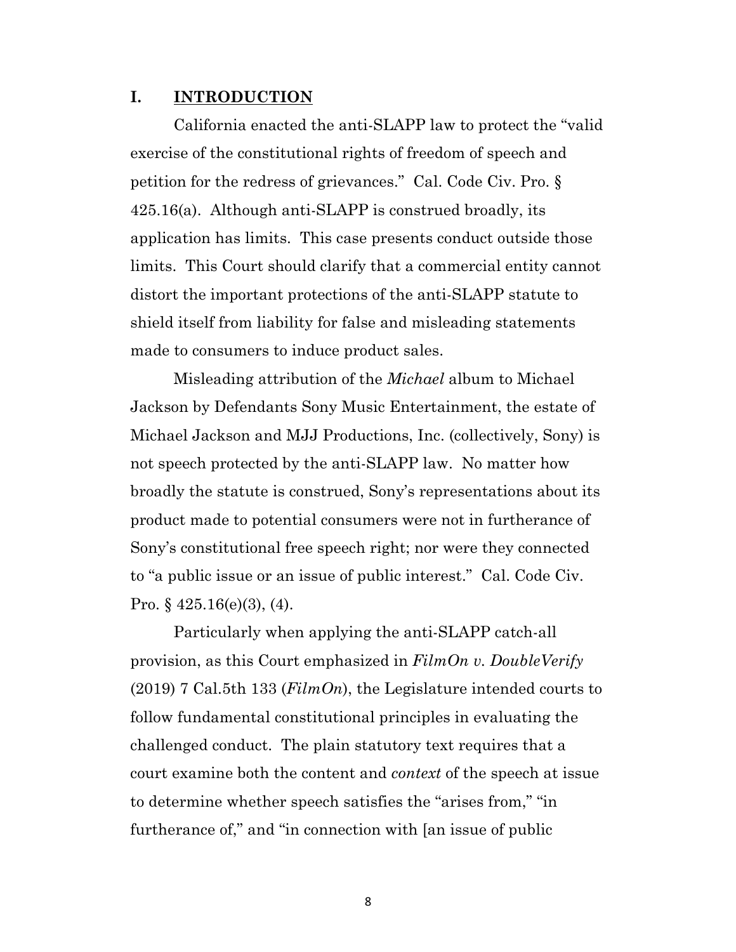#### **I. INTRODUCTION**

California enacted the anti-SLAPP law to protect the "valid exercise of the constitutional rights of freedom of speech and petition for the redress of grievances." Cal. Code Civ. Pro. § 425.16(a). Although anti-SLAPP is construed broadly, its application has limits. This case presents conduct outside those limits. This Court should clarify that a commercial entity cannot distort the important protections of the anti-SLAPP statute to shield itself from liability for false and misleading statements made to consumers to induce product sales.

Misleading attribution of the *Michael* album to Michael Jackson by Defendants Sony Music Entertainment, the estate of Michael Jackson and MJJ Productions, Inc. (collectively, Sony) is not speech protected by the anti-SLAPP law. No matter how broadly the statute is construed, Sony's representations about its product made to potential consumers were not in furtherance of Sony's constitutional free speech right; nor were they connected to "a public issue or an issue of public interest." Cal. Code Civ. Pro.  $\S$  425.16(e)(3), (4).

Particularly when applying the anti-SLAPP catch-all provision, as this Court emphasized in *FilmOn v. DoubleVerify* (2019) 7 Cal.5th 133 (*FilmOn*), the Legislature intended courts to follow fundamental constitutional principles in evaluating the challenged conduct. The plain statutory text requires that a court examine both the content and *context* of the speech at issue to determine whether speech satisfies the "arises from," "in furtherance of," and "in connection with [an issue of public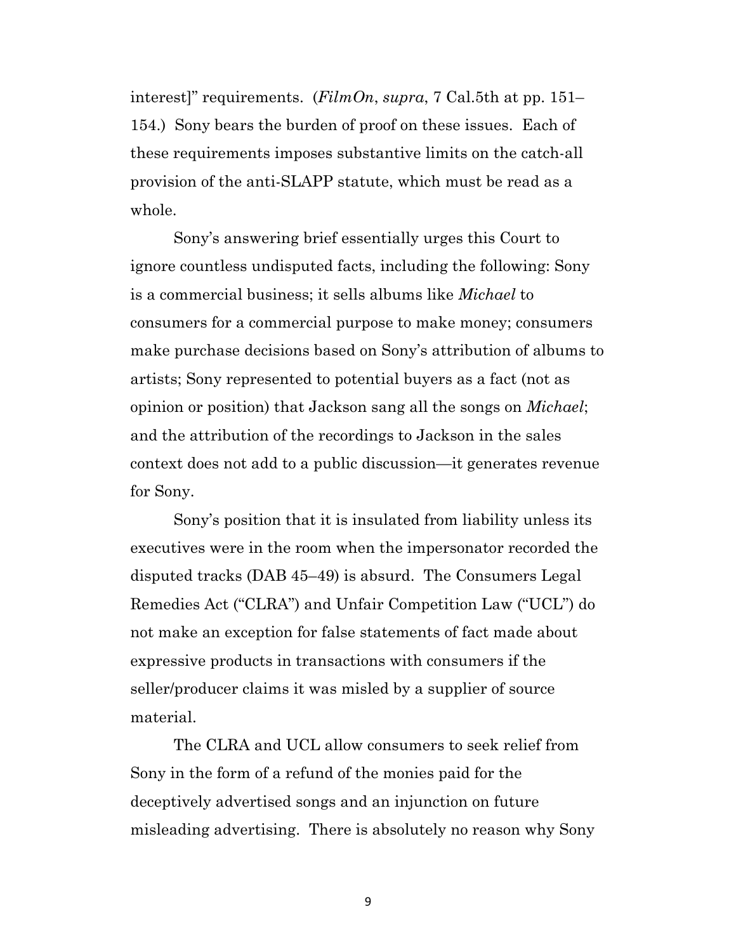interest]" requirements. (*FilmOn*, *supra*, 7 Cal.5th at pp. 151– 154.) Sony bears the burden of proof on these issues. Each of these requirements imposes substantive limits on the catch-all provision of the anti-SLAPP statute, which must be read as a whole.

Sony's answering brief essentially urges this Court to ignore countless undisputed facts, including the following: Sony is a commercial business; it sells albums like *Michael* to consumers for a commercial purpose to make money; consumers make purchase decisions based on Sony's attribution of albums to artists; Sony represented to potential buyers as a fact (not as opinion or position) that Jackson sang all the songs on *Michael*; and the attribution of the recordings to Jackson in the sales context does not add to a public discussion—it generates revenue for Sony.

Sony's position that it is insulated from liability unless its executives were in the room when the impersonator recorded the disputed tracks (DAB 45–49) is absurd. The Consumers Legal Remedies Act ("CLRA") and Unfair Competition Law ("UCL") do not make an exception for false statements of fact made about expressive products in transactions with consumers if the seller/producer claims it was misled by a supplier of source material.

The CLRA and UCL allow consumers to seek relief from Sony in the form of a refund of the monies paid for the deceptively advertised songs and an injunction on future misleading advertising. There is absolutely no reason why Sony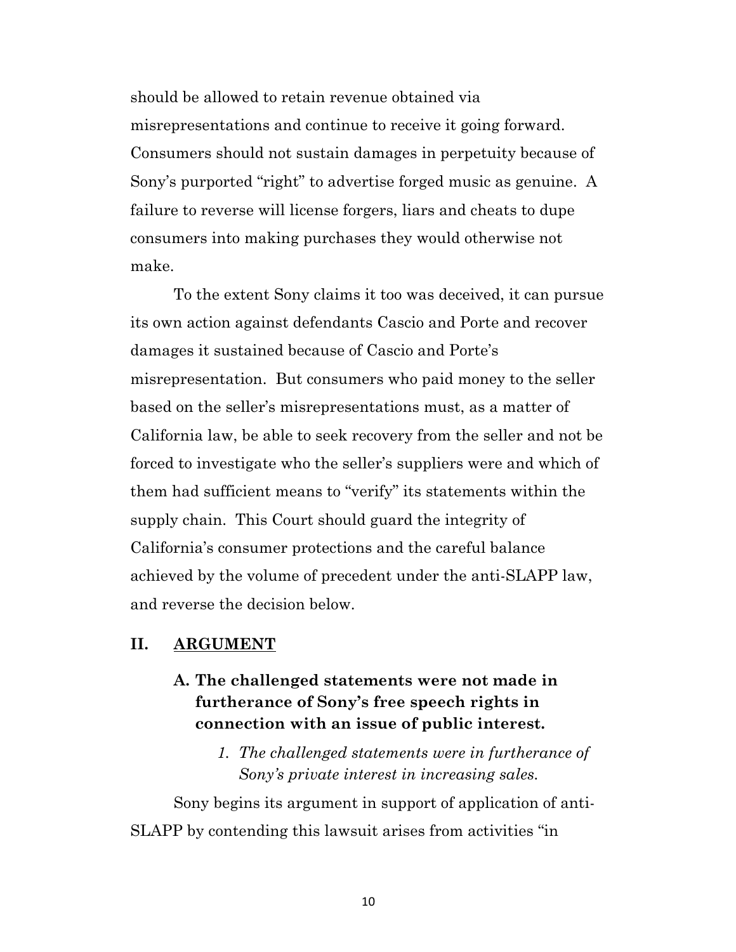should be allowed to retain revenue obtained via misrepresentations and continue to receive it going forward. Consumers should not sustain damages in perpetuity because of Sony's purported "right" to advertise forged music as genuine. A failure to reverse will license forgers, liars and cheats to dupe consumers into making purchases they would otherwise not make.

To the extent Sony claims it too was deceived, it can pursue its own action against defendants Cascio and Porte and recover damages it sustained because of Cascio and Porte's misrepresentation. But consumers who paid money to the seller based on the seller's misrepresentations must, as a matter of California law, be able to seek recovery from the seller and not be forced to investigate who the seller's suppliers were and which of them had sufficient means to "verify" its statements within the supply chain. This Court should guard the integrity of California's consumer protections and the careful balance achieved by the volume of precedent under the anti-SLAPP law, and reverse the decision below.

#### **II. ARGUMENT**

## **A. The challenged statements were not made in furtherance of Sony's free speech rights in connection with an issue of public interest.**

*1. The challenged statements were in furtherance of Sony's private interest in increasing sales.*

Sony begins its argument in support of application of anti-SLAPP by contending this lawsuit arises from activities "in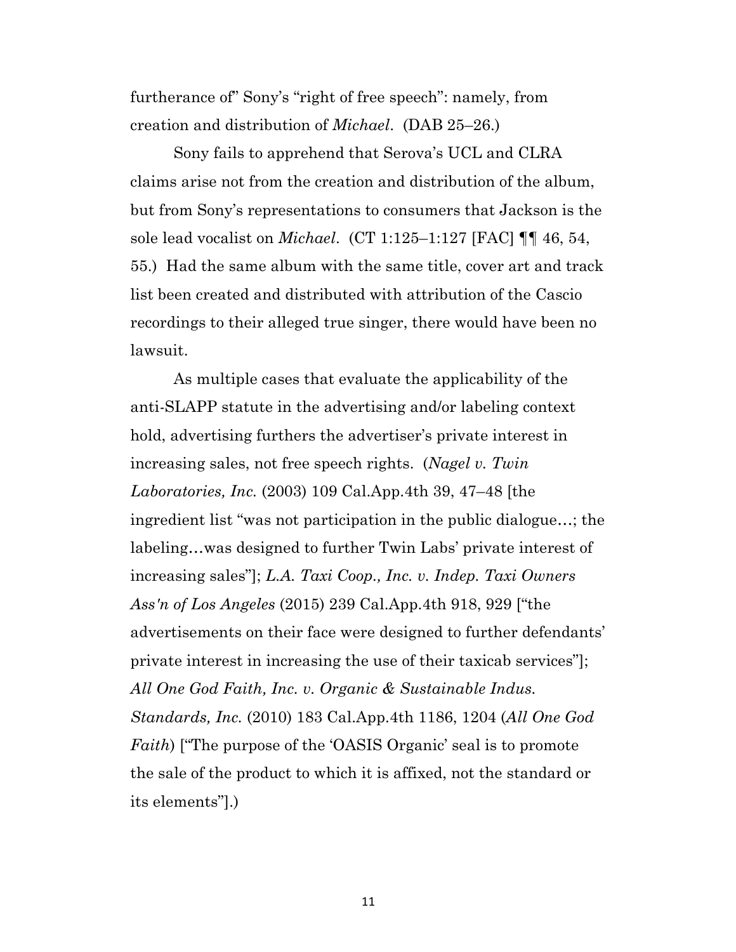furtherance of" Sony's "right of free speech": namely, from creation and distribution of *Michael*. (DAB 25–26.)

Sony fails to apprehend that Serova's UCL and CLRA claims arise not from the creation and distribution of the album, but from Sony's representations to consumers that Jackson is the sole lead vocalist on *Michael*. (CT 1:125–1:127 [FAC] ¶¶ 46, 54, 55.) Had the same album with the same title, cover art and track list been created and distributed with attribution of the Cascio recordings to their alleged true singer, there would have been no lawsuit.

As multiple cases that evaluate the applicability of the anti-SLAPP statute in the advertising and/or labeling context hold, advertising furthers the advertiser's private interest in increasing sales, not free speech rights. (*Nagel v. Twin Laboratories, Inc.* (2003) 109 Cal.App.4th 39, 47–48 [the ingredient list "was not participation in the public dialogue…; the labeling…was designed to further Twin Labs' private interest of increasing sales"]; *L.A. Taxi Coop., Inc. v. Indep. Taxi Owners Ass'n of Los Angeles* (2015) 239 Cal.App.4th 918, 929 ["the advertisements on their face were designed to further defendants' private interest in increasing the use of their taxicab services"]; *All One God Faith, Inc. v. Organic & Sustainable Indus. Standards, Inc.* (2010) 183 Cal.App.4th 1186, 1204 (*All One God Faith*) ["The purpose of the 'OASIS Organic' seal is to promote the sale of the product to which it is affixed, not the standard or its elements"].)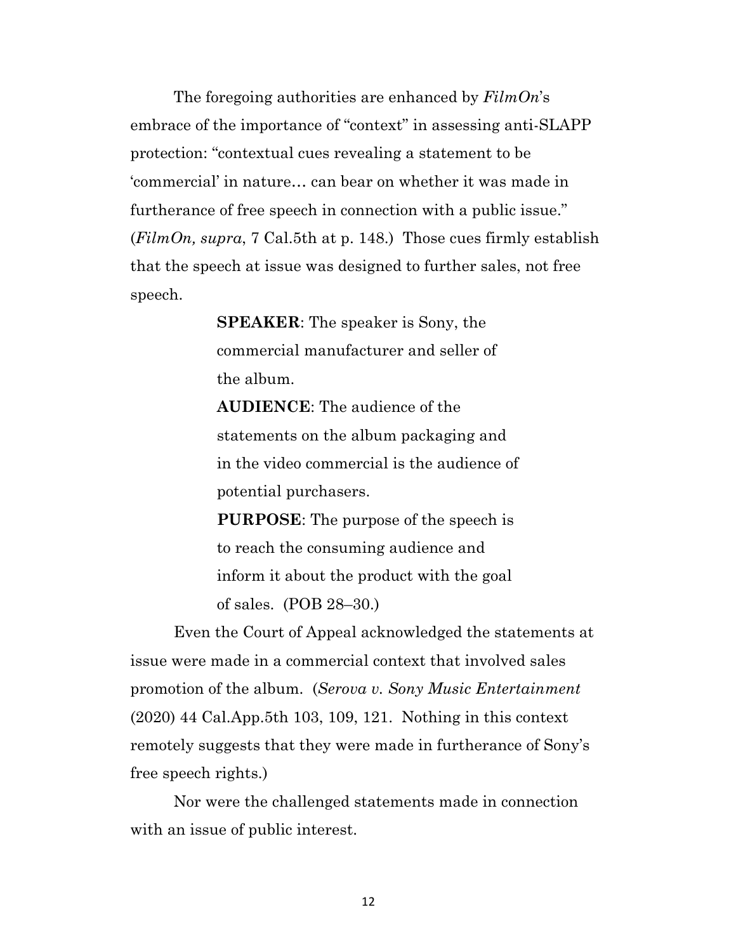The foregoing authorities are enhanced by *FilmOn*'s embrace of the importance of "context" in assessing anti-SLAPP protection: "contextual cues revealing a statement to be 'commercial' in nature… can bear on whether it was made in furtherance of free speech in connection with a public issue." (*FilmOn, supra*, 7 Cal.5th at p. 148.) Those cues firmly establish that the speech at issue was designed to further sales, not free speech.

> **SPEAKER**: The speaker is Sony, the commercial manufacturer and seller of the album.

**AUDIENCE**: The audience of the statements on the album packaging and in the video commercial is the audience of potential purchasers.

**PURPOSE**: The purpose of the speech is to reach the consuming audience and inform it about the product with the goal of sales. (POB 28–30.)

Even the Court of Appeal acknowledged the statements at issue were made in a commercial context that involved sales promotion of the album. (*Serova v. Sony Music Entertainment* (2020) 44 Cal.App.5th 103, 109, 121. Nothing in this context remotely suggests that they were made in furtherance of Sony's free speech rights.)

Nor were the challenged statements made in connection with an issue of public interest.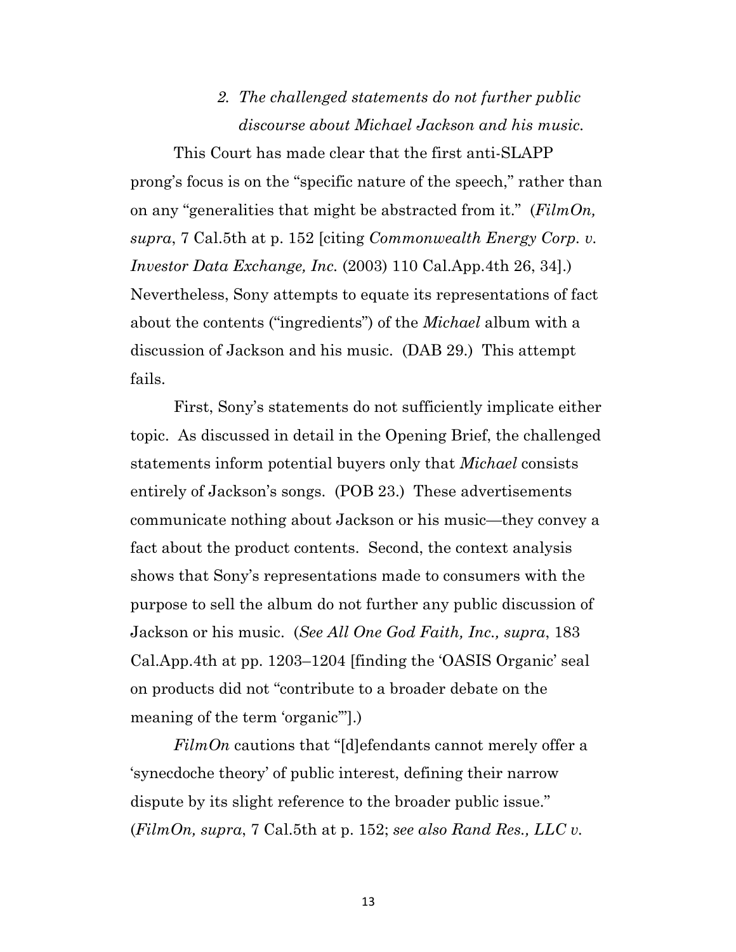# *2. The challenged statements do not further public discourse about Michael Jackson and his music.*

This Court has made clear that the first anti-SLAPP prong's focus is on the "specific nature of the speech," rather than on any "generalities that might be abstracted from it." (*FilmOn, supra*, 7 Cal.5th at p. 152 [citing *Commonwealth Energy Corp. v. Investor Data Exchange, Inc.* (2003) 110 Cal.App.4th 26, 34].) Nevertheless, Sony attempts to equate its representations of fact about the contents ("ingredients") of the *Michael* album with a discussion of Jackson and his music. (DAB 29.) This attempt fails.

First, Sony's statements do not sufficiently implicate either topic. As discussed in detail in the Opening Brief, the challenged statements inform potential buyers only that *Michael* consists entirely of Jackson's songs. (POB 23.) These advertisements communicate nothing about Jackson or his music—they convey a fact about the product contents. Second, the context analysis shows that Sony's representations made to consumers with the purpose to sell the album do not further any public discussion of Jackson or his music. (*See All One God Faith, Inc., supra*, 183 Cal.App.4th at pp. 1203–1204 [finding the 'OASIS Organic' seal on products did not "contribute to a broader debate on the meaning of the term 'organic'"].)

*FilmOn* cautions that "[d]efendants cannot merely offer a 'synecdoche theory' of public interest, defining their narrow dispute by its slight reference to the broader public issue." (*FilmOn, supra*, 7 Cal.5th at p. 152; *see also Rand Res., LLC v.*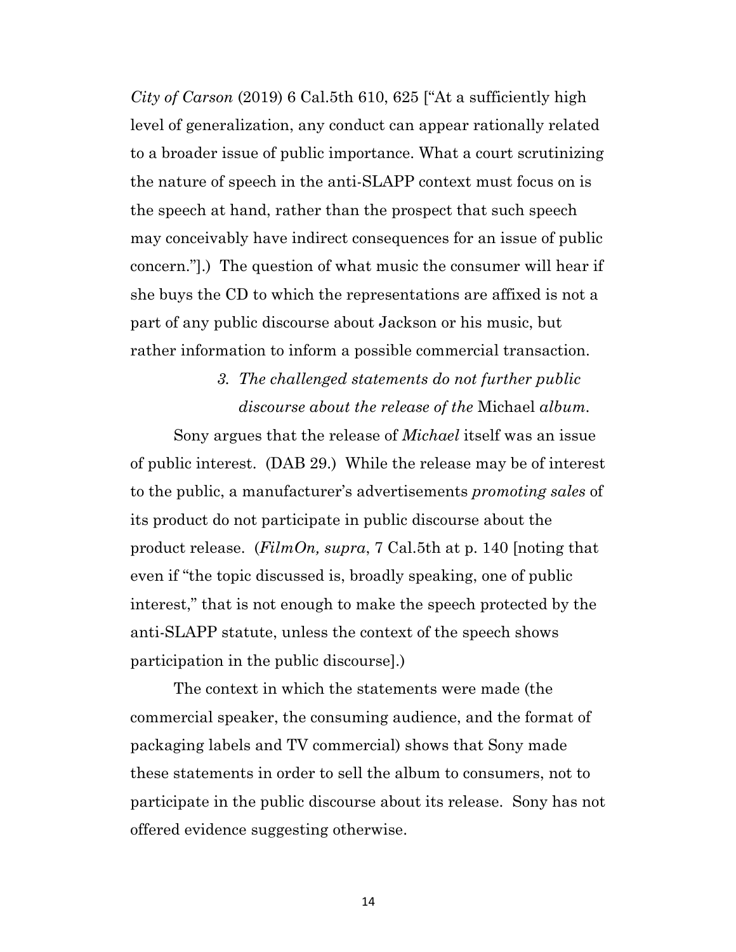*City of Carson* (2019) 6 Cal.5th 610, 625 ["At a sufficiently high level of generalization, any conduct can appear rationally related to a broader issue of public importance. What a court scrutinizing the nature of speech in the anti-SLAPP context must focus on is the speech at hand, rather than the prospect that such speech may conceivably have indirect consequences for an issue of public concern."].) The question of what music the consumer will hear if she buys the CD to which the representations are affixed is not a part of any public discourse about Jackson or his music, but rather information to inform a possible commercial transaction.

> *3. The challenged statements do not further public discourse about the release of the* Michael *album.*

Sony argues that the release of *Michael* itself was an issue of public interest. (DAB 29.) While the release may be of interest to the public, a manufacturer's advertisements *promoting sales* of its product do not participate in public discourse about the product release. (*FilmOn, supra*, 7 Cal.5th at p. 140 [noting that even if "the topic discussed is, broadly speaking, one of public interest," that is not enough to make the speech protected by the anti-SLAPP statute, unless the context of the speech shows participation in the public discourse].)

The context in which the statements were made (the commercial speaker, the consuming audience, and the format of packaging labels and TV commercial) shows that Sony made these statements in order to sell the album to consumers, not to participate in the public discourse about its release. Sony has not offered evidence suggesting otherwise.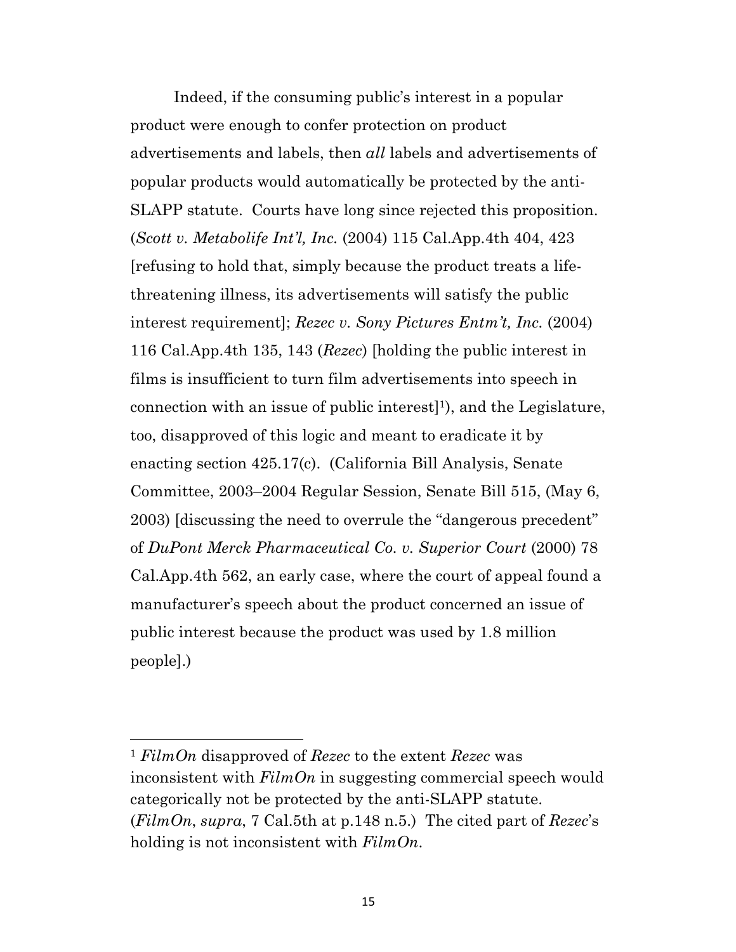Indeed, if the consuming public's interest in a popular product were enough to confer protection on product advertisements and labels, then *all* labels and advertisements of popular products would automatically be protected by the anti-SLAPP statute. Courts have long since rejected this proposition. (*Scott v. Metabolife Int'l, Inc.* (2004) 115 Cal.App.4th 404, 423 [refusing to hold that, simply because the product treats a lifethreatening illness, its advertisements will satisfy the public interest requirement]; *Rezec v. Sony Pictures Entm't, Inc.* (2004) 116 Cal.App.4th 135, 143 (*Rezec*) [holding the public interest in films is insufficient to turn film advertisements into speech in connection with an issue of public interest<sup>[1]</sup>, and the Legislature, too, disapproved of this logic and meant to eradicate it by enacting section 425.17(c). (California Bill Analysis, Senate Committee, 2003–2004 Regular Session, Senate Bill 515, (May 6, 2003) [discussing the need to overrule the "dangerous precedent" of *DuPont Merck Pharmaceutical Co. v. Superior Court* (2000) 78 Cal.App.4th 562, an early case, where the court of appeal found a manufacturer's speech about the product concerned an issue of public interest because the product was used by 1.8 million people].)

<sup>1</sup> *FilmOn* disapproved of *Rezec* to the extent *Rezec* was inconsistent with *FilmOn* in suggesting commercial speech would categorically not be protected by the anti-SLAPP statute. (*FilmOn*, *supra*, 7 Cal.5th at p.148 n.5.) The cited part of *Rezec*'s holding is not inconsistent with *FilmOn*.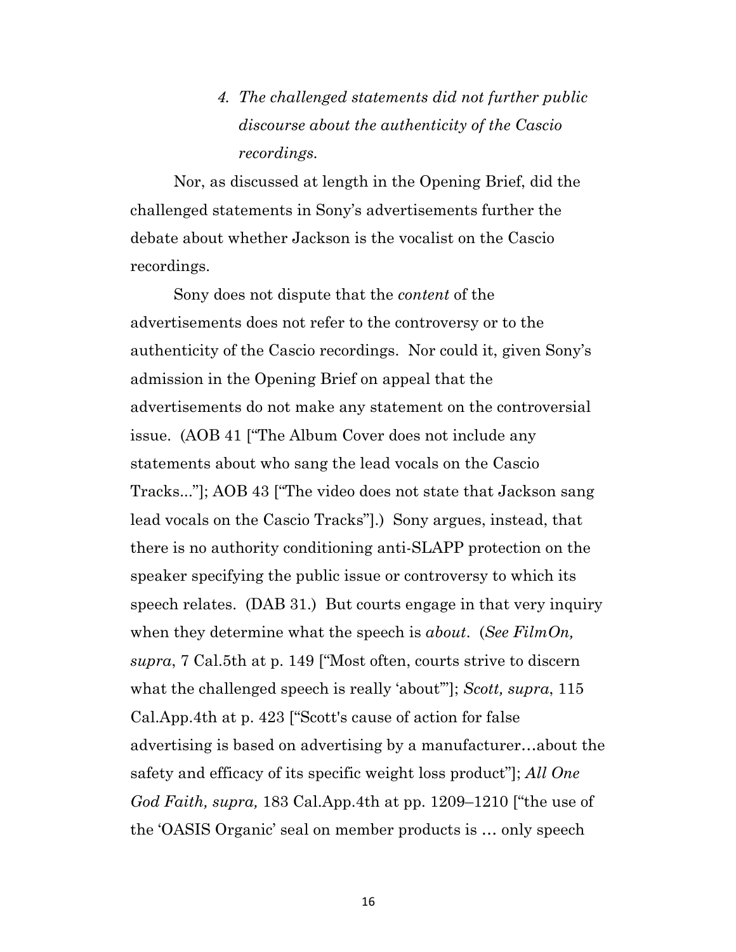# *4. The challenged statements did not further public discourse about the authenticity of the Cascio recordings.*

Nor, as discussed at length in the Opening Brief, did the challenged statements in Sony's advertisements further the debate about whether Jackson is the vocalist on the Cascio recordings.

Sony does not dispute that the *content* of the advertisements does not refer to the controversy or to the authenticity of the Cascio recordings. Nor could it, given Sony's admission in the Opening Brief on appeal that the advertisements do not make any statement on the controversial issue. (AOB 41 ["The Album Cover does not include any statements about who sang the lead vocals on the Cascio Tracks..."]; AOB 43 ["The video does not state that Jackson sang lead vocals on the Cascio Tracks"].) Sony argues, instead, that there is no authority conditioning anti-SLAPP protection on the speaker specifying the public issue or controversy to which its speech relates. (DAB 31.) But courts engage in that very inquiry when they determine what the speech is *about*. (*See FilmOn, supra*, 7 Cal.5th at p. 149 ["Most often, courts strive to discern what the challenged speech is really 'about'"]; *Scott, supra*, 115 Cal.App.4th at p. 423 ["Scott's cause of action for false advertising is based on advertising by a manufacturer…about the safety and efficacy of its specific weight loss product"]; *All One God Faith, supra,* 183 Cal.App.4th at pp. 1209–1210 ["the use of the 'OASIS Organic' seal on member products is … only speech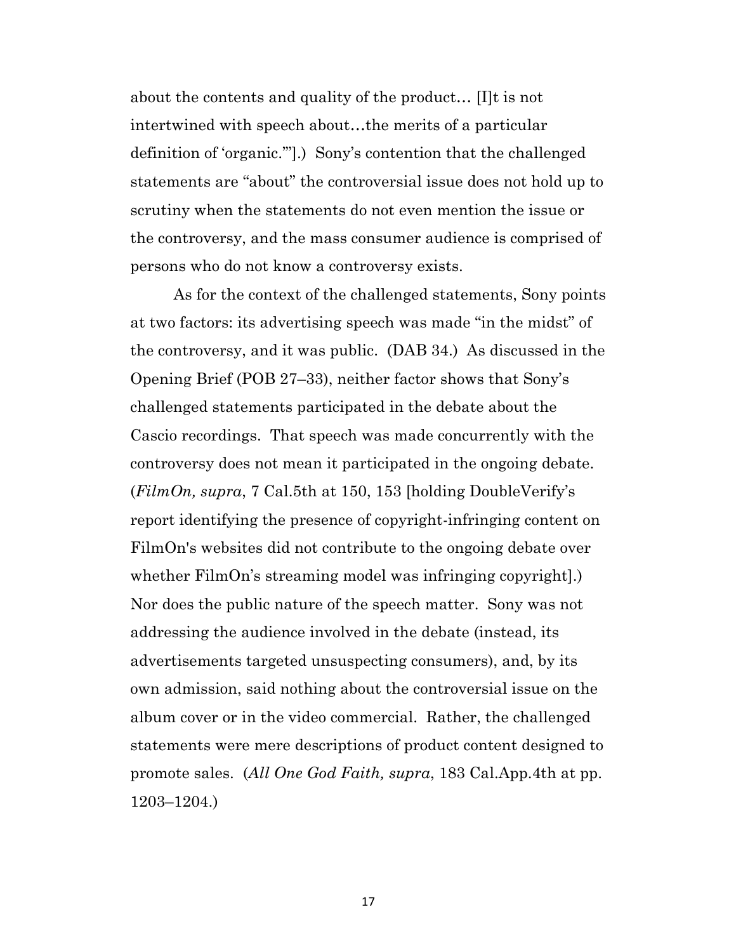about the contents and quality of the product… [I]t is not intertwined with speech about…the merits of a particular definition of 'organic.'"].) Sony's contention that the challenged statements are "about" the controversial issue does not hold up to scrutiny when the statements do not even mention the issue or the controversy, and the mass consumer audience is comprised of persons who do not know a controversy exists.

As for the context of the challenged statements, Sony points at two factors: its advertising speech was made "in the midst" of the controversy, and it was public. (DAB 34.) As discussed in the Opening Brief (POB 27–33), neither factor shows that Sony's challenged statements participated in the debate about the Cascio recordings. That speech was made concurrently with the controversy does not mean it participated in the ongoing debate. (*FilmOn, supra*, 7 Cal.5th at 150, 153 [holding DoubleVerify's report identifying the presence of copyright-infringing content on FilmOn's websites did not contribute to the ongoing debate over whether FilmOn's streaming model was infringing copyright. Nor does the public nature of the speech matter. Sony was not addressing the audience involved in the debate (instead, its advertisements targeted unsuspecting consumers), and, by its own admission, said nothing about the controversial issue on the album cover or in the video commercial. Rather, the challenged statements were mere descriptions of product content designed to promote sales. (*All One God Faith, supra*, 183 Cal.App.4th at pp. 1203–1204.)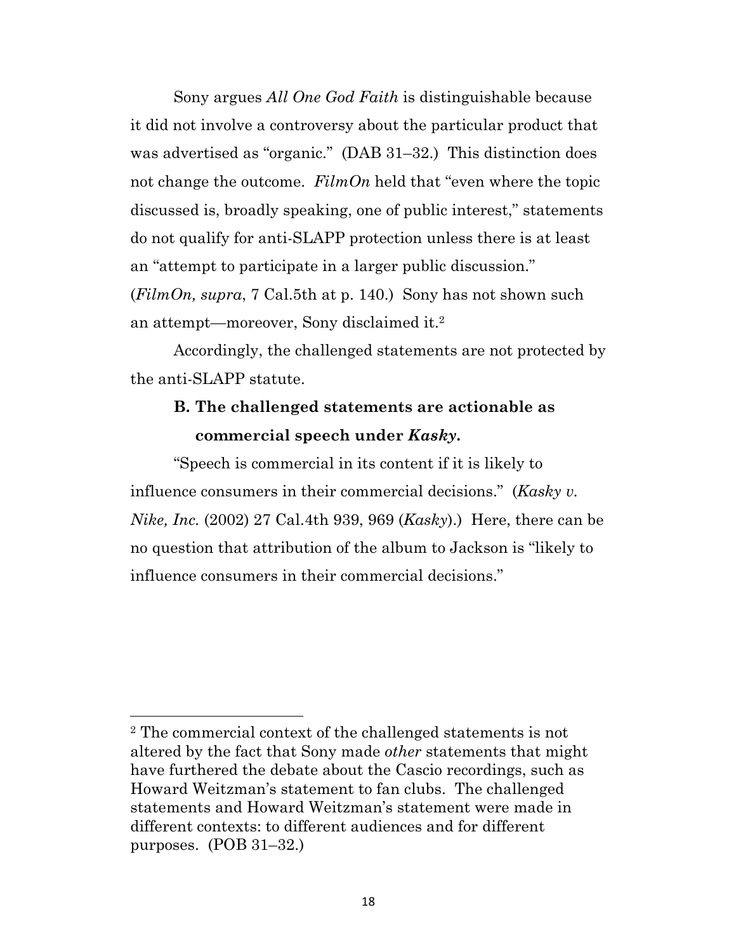Sony argues *All One God Faith* is distinguishable because it did not involve a controversy about the particular product that was advertised as "organic." (DAB 31–32.) This distinction does not change the outcome. *FilmOn* held that "even where the topic discussed is, broadly speaking, one of public interest," statements do not qualify for anti-SLAPP protection unless there is at least an "attempt to participate in a larger public discussion." (*FilmOn, supra*, 7 Cal.5th at p. 140.) Sony has not shown such an attempt—moreover, Sony disclaimed it.2

Accordingly, the challenged statements are not protected by the anti-SLAPP statute.

## **B. The challenged statements are actionable as commercial speech under** *Kasky***.**

"Speech is commercial in its content if it is likely to influence consumers in their commercial decisions." (*Kasky v. Nike, Inc.* (2002) 27 Cal.4th 939, 969 (*Kasky*).) Here, there can be no question that attribution of the album to Jackson is "likely to influence consumers in their commercial decisions."

<sup>2</sup> The commercial context of the challenged statements is not altered by the fact that Sony made *other* statements that might have furthered the debate about the Cascio recordings, such as Howard Weitzman's statement to fan clubs. The challenged statements and Howard Weitzman's statement were made in different contexts: to different audiences and for different purposes. (POB 31–32.)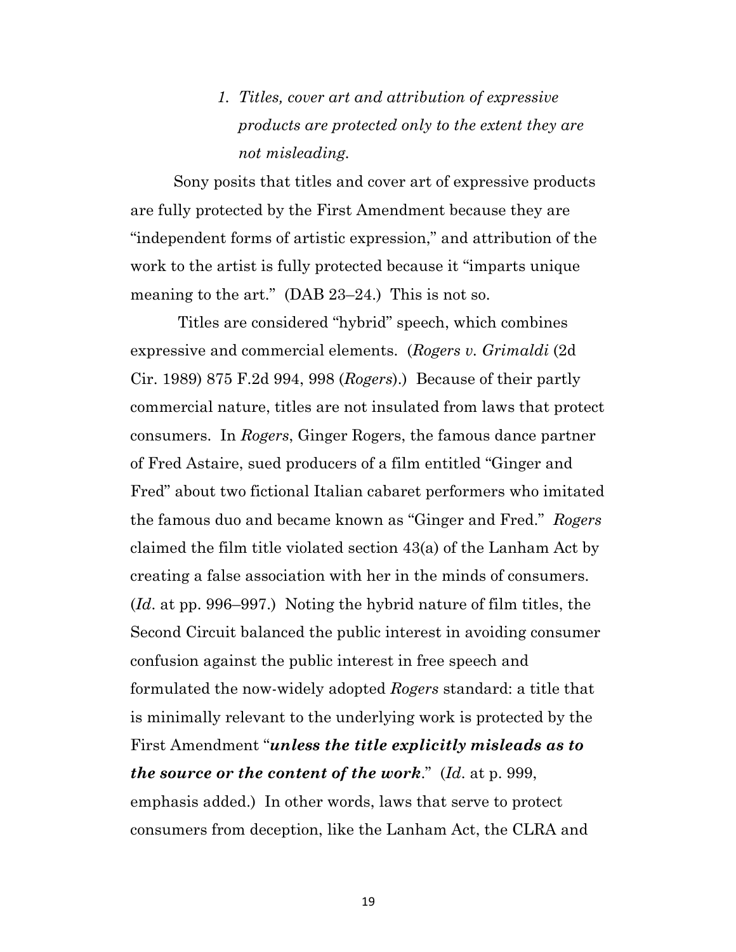# *1. Titles, cover art and attribution of expressive products are protected only to the extent they are not misleading.*

Sony posits that titles and cover art of expressive products are fully protected by the First Amendment because they are "independent forms of artistic expression," and attribution of the work to the artist is fully protected because it "imparts unique meaning to the art." (DAB 23–24.) This is not so.

Titles are considered "hybrid" speech, which combines expressive and commercial elements. (*Rogers v. Grimaldi* (2d Cir. 1989) 875 F.2d 994, 998 (*Rogers*).) Because of their partly commercial nature, titles are not insulated from laws that protect consumers. In *Rogers*, Ginger Rogers, the famous dance partner of Fred Astaire, sued producers of a film entitled "Ginger and Fred" about two fictional Italian cabaret performers who imitated the famous duo and became known as "Ginger and Fred." *Rogers* claimed the film title violated section 43(a) of the Lanham Act by creating a false association with her in the minds of consumers. (*Id*. at pp. 996–997.) Noting the hybrid nature of film titles, the Second Circuit balanced the public interest in avoiding consumer confusion against the public interest in free speech and formulated the now-widely adopted *Rogers* standard: a title that is minimally relevant to the underlying work is protected by the First Amendment "*unless the title explicitly misleads as to the source or the content of the work*." (*Id*. at p. 999, emphasis added.) In other words, laws that serve to protect consumers from deception, like the Lanham Act, the CLRA and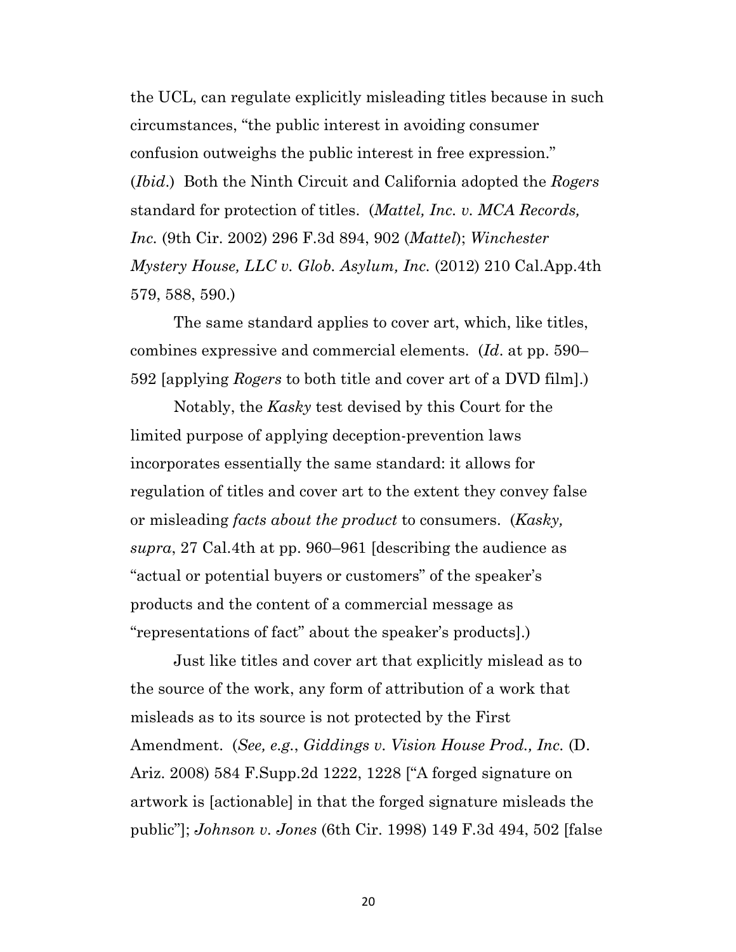the UCL, can regulate explicitly misleading titles because in such circumstances, "the public interest in avoiding consumer confusion outweighs the public interest in free expression." (*Ibid*.) Both the Ninth Circuit and California adopted the *Rogers* standard for protection of titles. (*Mattel, Inc. v. MCA Records, Inc.* (9th Cir. 2002) 296 F.3d 894, 902 (*Mattel*); *Winchester Mystery House, LLC v. Glob. Asylum, Inc.* (2012) 210 Cal.App.4th 579, 588, 590.)

The same standard applies to cover art, which, like titles, combines expressive and commercial elements. (*Id*. at pp. 590– 592 [applying *Rogers* to both title and cover art of a DVD film].)

Notably, the *Kasky* test devised by this Court for the limited purpose of applying deception-prevention laws incorporates essentially the same standard: it allows for regulation of titles and cover art to the extent they convey false or misleading *facts about the product* to consumers. (*Kasky, supra*, 27 Cal.4th at pp. 960–961 [describing the audience as "actual or potential buyers or customers" of the speaker's products and the content of a commercial message as "representations of fact" about the speaker's products].)

Just like titles and cover art that explicitly mislead as to the source of the work, any form of attribution of a work that misleads as to its source is not protected by the First Amendment. (*See, e.g.*, *Giddings v. Vision House Prod., Inc.* (D. Ariz. 2008) 584 F.Supp.2d 1222, 1228 ["A forged signature on artwork is [actionable] in that the forged signature misleads the public"]; *Johnson v. Jones* (6th Cir. 1998) 149 F.3d 494, 502 [false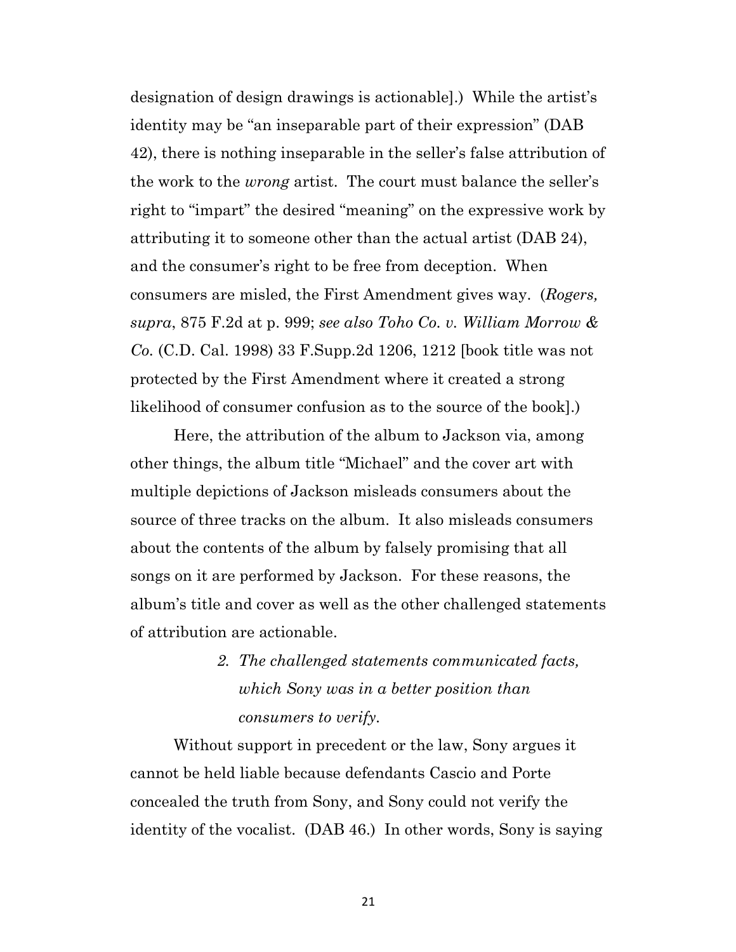designation of design drawings is actionable].) While the artist's identity may be "an inseparable part of their expression" (DAB 42), there is nothing inseparable in the seller's false attribution of the work to the *wrong* artist. The court must balance the seller's right to "impart" the desired "meaning" on the expressive work by attributing it to someone other than the actual artist (DAB 24), and the consumer's right to be free from deception. When consumers are misled, the First Amendment gives way. (*Rogers, supra*, 875 F.2d at p. 999; *see also Toho Co. v. William Morrow & Co.* (C.D. Cal. 1998) 33 F.Supp.2d 1206, 1212 [book title was not protected by the First Amendment where it created a strong likelihood of consumer confusion as to the source of the book].)

Here, the attribution of the album to Jackson via, among other things, the album title "Michael" and the cover art with multiple depictions of Jackson misleads consumers about the source of three tracks on the album. It also misleads consumers about the contents of the album by falsely promising that all songs on it are performed by Jackson. For these reasons, the album's title and cover as well as the other challenged statements of attribution are actionable.

> *2. The challenged statements communicated facts, which Sony was in a better position than consumers to verify.*

Without support in precedent or the law, Sony argues it cannot be held liable because defendants Cascio and Porte concealed the truth from Sony, and Sony could not verify the identity of the vocalist. (DAB 46.) In other words, Sony is saying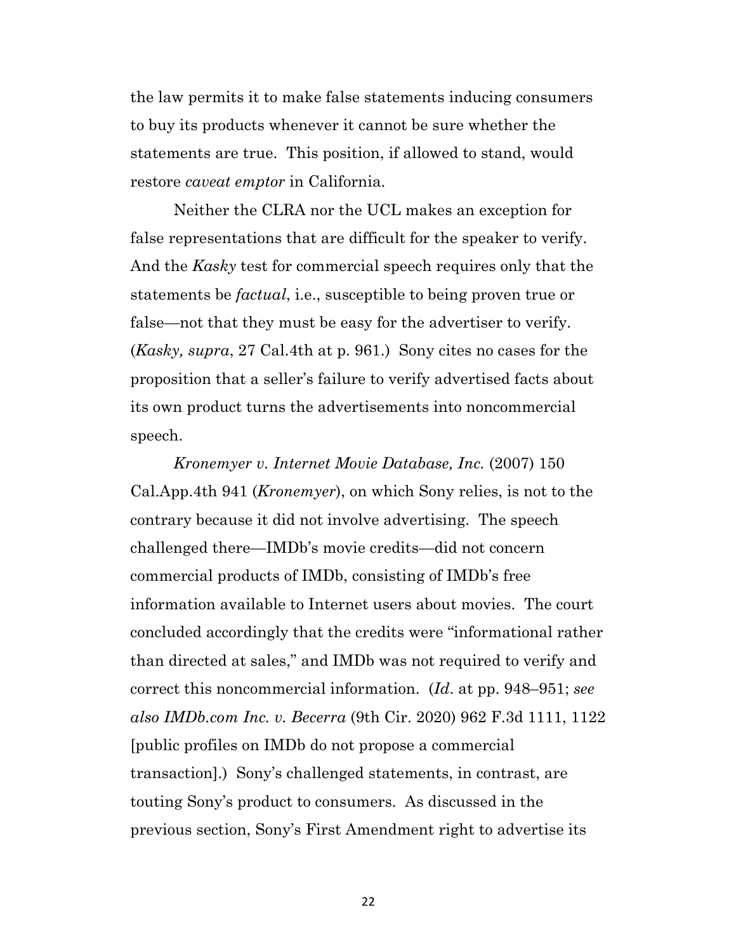the law permits it to make false statements inducing consumers to buy its products whenever it cannot be sure whether the statements are true. This position, if allowed to stand, would restore *caveat emptor* in California.

Neither the CLRA nor the UCL makes an exception for false representations that are difficult for the speaker to verify. And the *Kasky* test for commercial speech requires only that the statements be *factual*, i.e., susceptible to being proven true or false—not that they must be easy for the advertiser to verify. (*Kasky, supra*, 27 Cal.4th at p. 961.) Sony cites no cases for the proposition that a seller's failure to verify advertised facts about its own product turns the advertisements into noncommercial speech.

*Kronemyer v. Internet Movie Database, Inc.* (2007) 150 Cal.App.4th 941 (*Kronemyer*), on which Sony relies, is not to the contrary because it did not involve advertising. The speech challenged there—IMDb's movie credits—did not concern commercial products of IMDb, consisting of IMDb's free information available to Internet users about movies. The court concluded accordingly that the credits were "informational rather than directed at sales," and IMDb was not required to verify and correct this noncommercial information. (*Id*. at pp. 948–951; *see also IMDb.com Inc. v. Becerra* (9th Cir. 2020) 962 F.3d 1111, 1122 [public profiles on IMDb do not propose a commercial transaction].) Sony's challenged statements, in contrast, are touting Sony's product to consumers. As discussed in the previous section, Sony's First Amendment right to advertise its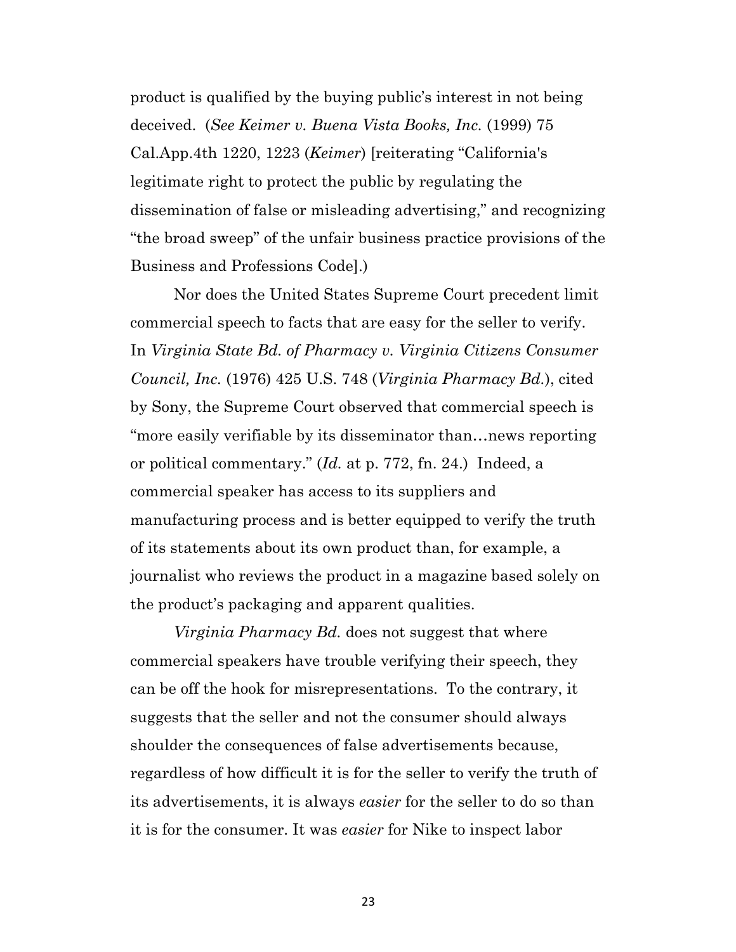product is qualified by the buying public's interest in not being deceived. (*See Keimer v. Buena Vista Books, Inc.* (1999) 75 Cal.App.4th 1220, 1223 (*Keimer*) [reiterating "California's legitimate right to protect the public by regulating the dissemination of false or misleading advertising," and recognizing "the broad sweep" of the unfair business practice provisions of the Business and Professions Code].)

Nor does the United States Supreme Court precedent limit commercial speech to facts that are easy for the seller to verify. In *Virginia State Bd. of Pharmacy v. Virginia Citizens Consumer Council, Inc.* (1976) 425 U.S. 748 (*Virginia Pharmacy Bd.*), cited by Sony, the Supreme Court observed that commercial speech is "more easily verifiable by its disseminator than…news reporting or political commentary." (*Id.* at p. 772, fn. 24.) Indeed, a commercial speaker has access to its suppliers and manufacturing process and is better equipped to verify the truth of its statements about its own product than, for example, a journalist who reviews the product in a magazine based solely on the product's packaging and apparent qualities.

*Virginia Pharmacy Bd.* does not suggest that where commercial speakers have trouble verifying their speech, they can be off the hook for misrepresentations. To the contrary, it suggests that the seller and not the consumer should always shoulder the consequences of false advertisements because, regardless of how difficult it is for the seller to verify the truth of its advertisements, it is always *easier* for the seller to do so than it is for the consumer. It was *easier* for Nike to inspect labor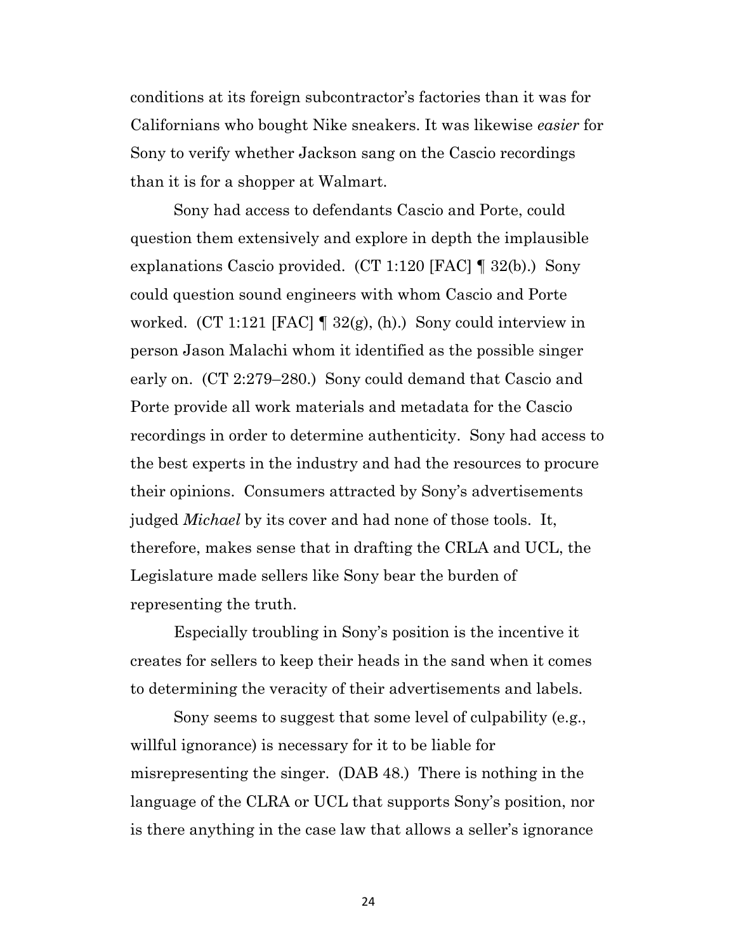conditions at its foreign subcontractor's factories than it was for Californians who bought Nike sneakers. It was likewise *easier* for Sony to verify whether Jackson sang on the Cascio recordings than it is for a shopper at Walmart.

Sony had access to defendants Cascio and Porte, could question them extensively and explore in depth the implausible explanations Cascio provided. (CT 1:120 [FAC] ¶ 32(b).) Sony could question sound engineers with whom Cascio and Porte worked. (CT 1:121 [FAC]  $\parallel$  32(g), (h).) Sony could interview in person Jason Malachi whom it identified as the possible singer early on. (CT 2:279–280.) Sony could demand that Cascio and Porte provide all work materials and metadata for the Cascio recordings in order to determine authenticity. Sony had access to the best experts in the industry and had the resources to procure their opinions. Consumers attracted by Sony's advertisements judged *Michael* by its cover and had none of those tools. It, therefore, makes sense that in drafting the CRLA and UCL, the Legislature made sellers like Sony bear the burden of representing the truth.

Especially troubling in Sony's position is the incentive it creates for sellers to keep their heads in the sand when it comes to determining the veracity of their advertisements and labels.

Sony seems to suggest that some level of culpability (e.g., willful ignorance) is necessary for it to be liable for misrepresenting the singer. (DAB 48.) There is nothing in the language of the CLRA or UCL that supports Sony's position, nor is there anything in the case law that allows a seller's ignorance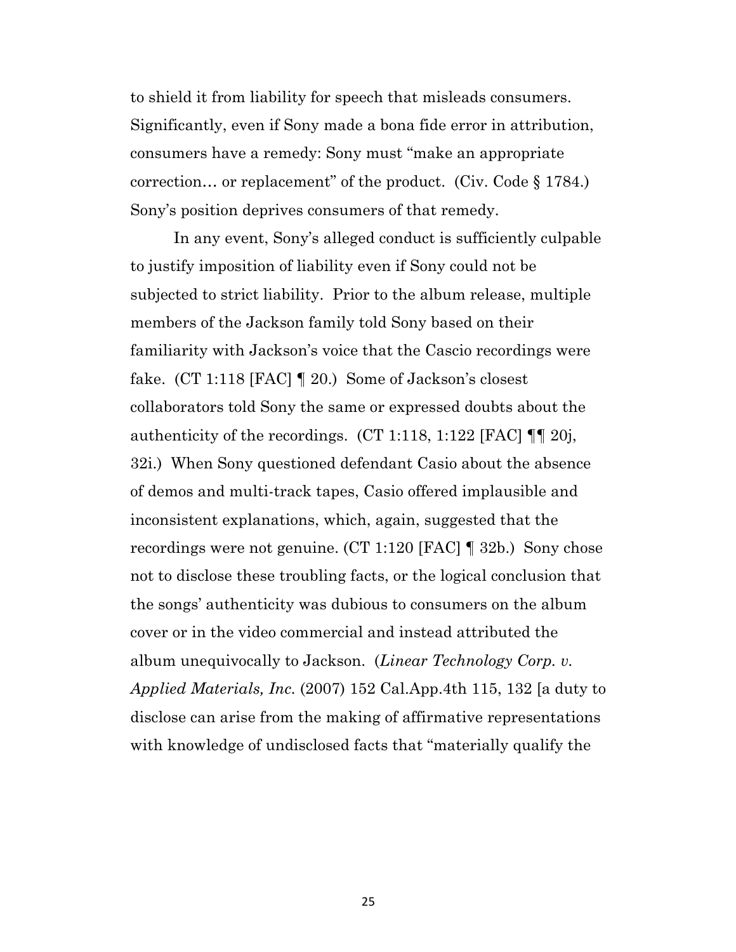to shield it from liability for speech that misleads consumers. Significantly, even if Sony made a bona fide error in attribution, consumers have a remedy: Sony must "make an appropriate correction… or replacement" of the product. (Civ. Code § 1784.) Sony's position deprives consumers of that remedy.

In any event, Sony's alleged conduct is sufficiently culpable to justify imposition of liability even if Sony could not be subjected to strict liability. Prior to the album release, multiple members of the Jackson family told Sony based on their familiarity with Jackson's voice that the Cascio recordings were fake. (CT 1:118 [FAC] 1 20.) Some of Jackson's closest collaborators told Sony the same or expressed doubts about the authenticity of the recordings.  $(CT 1:118, 1:122$  [FAC]  $\P\P$  20j, 32i.) When Sony questioned defendant Casio about the absence of demos and multi-track tapes, Casio offered implausible and inconsistent explanations, which, again, suggested that the recordings were not genuine. (CT 1:120 [FAC] ¶ 32b.) Sony chose not to disclose these troubling facts, or the logical conclusion that the songs' authenticity was dubious to consumers on the album cover or in the video commercial and instead attributed the album unequivocally to Jackson. (*Linear Technology Corp. v. Applied Materials, Inc.* (2007) 152 Cal.App.4th 115, 132 [a duty to disclose can arise from the making of affirmative representations with knowledge of undisclosed facts that "materially qualify the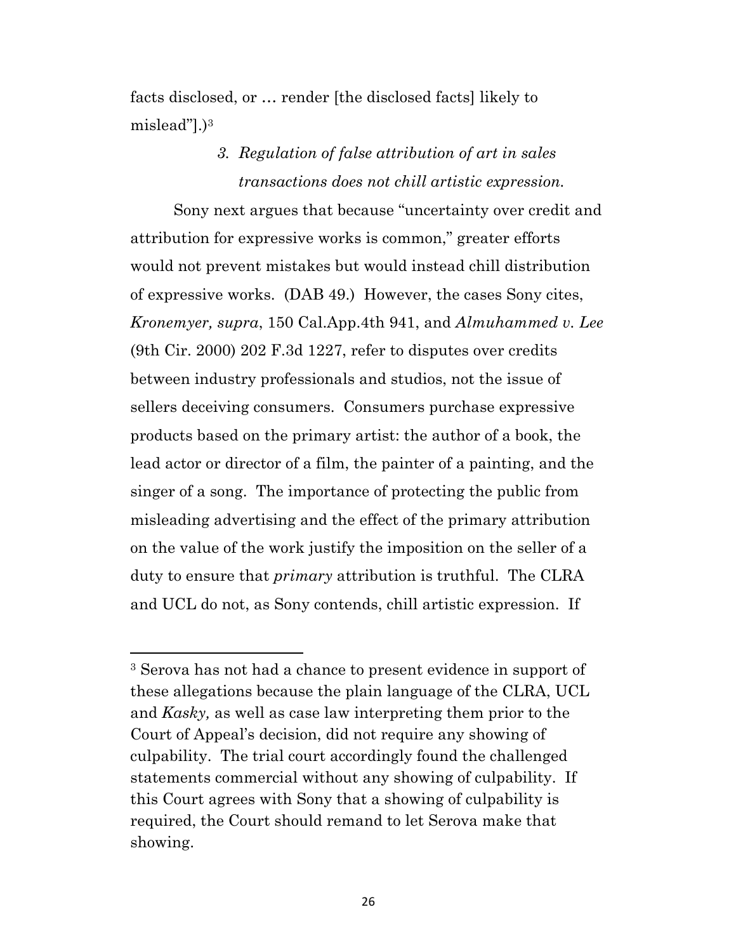facts disclosed, or … render [the disclosed facts] likely to mislead"].)3

# *3. Regulation of false attribution of art in sales transactions does not chill artistic expression.*

Sony next argues that because "uncertainty over credit and attribution for expressive works is common," greater efforts would not prevent mistakes but would instead chill distribution of expressive works. (DAB 49.) However, the cases Sony cites, *Kronemyer, supra*, 150 Cal.App.4th 941, and *Almuhammed v. Lee* (9th Cir. 2000) 202 F.3d 1227, refer to disputes over credits between industry professionals and studios, not the issue of sellers deceiving consumers. Consumers purchase expressive products based on the primary artist: the author of a book, the lead actor or director of a film, the painter of a painting, and the singer of a song. The importance of protecting the public from misleading advertising and the effect of the primary attribution on the value of the work justify the imposition on the seller of a duty to ensure that *primary* attribution is truthful. The CLRA and UCL do not, as Sony contends, chill artistic expression. If

<sup>3</sup> Serova has not had a chance to present evidence in support of these allegations because the plain language of the CLRA, UCL and *Kasky,* as well as case law interpreting them prior to the Court of Appeal's decision, did not require any showing of culpability. The trial court accordingly found the challenged statements commercial without any showing of culpability. If this Court agrees with Sony that a showing of culpability is required, the Court should remand to let Serova make that showing.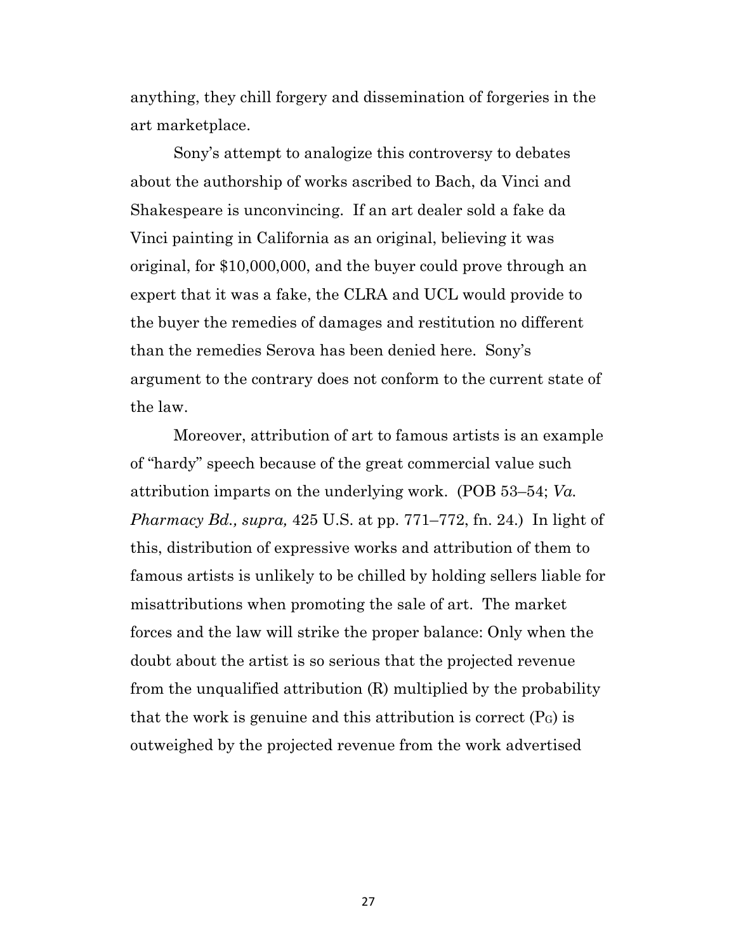anything, they chill forgery and dissemination of forgeries in the art marketplace.

Sony's attempt to analogize this controversy to debates about the authorship of works ascribed to Bach, da Vinci and Shakespeare is unconvincing. If an art dealer sold a fake da Vinci painting in California as an original, believing it was original, for \$10,000,000, and the buyer could prove through an expert that it was a fake, the CLRA and UCL would provide to the buyer the remedies of damages and restitution no different than the remedies Serova has been denied here. Sony's argument to the contrary does not conform to the current state of the law.

Moreover, attribution of art to famous artists is an example of "hardy" speech because of the great commercial value such attribution imparts on the underlying work. (POB 53–54; *Va. Pharmacy Bd., supra,* 425 U.S. at pp. 771–772, fn. 24.) In light of this, distribution of expressive works and attribution of them to famous artists is unlikely to be chilled by holding sellers liable for misattributions when promoting the sale of art. The market forces and the law will strike the proper balance: Only when the doubt about the artist is so serious that the projected revenue from the unqualified attribution (R) multiplied by the probability that the work is genuine and this attribution is correct  $(P<sub>G</sub>)$  is outweighed by the projected revenue from the work advertised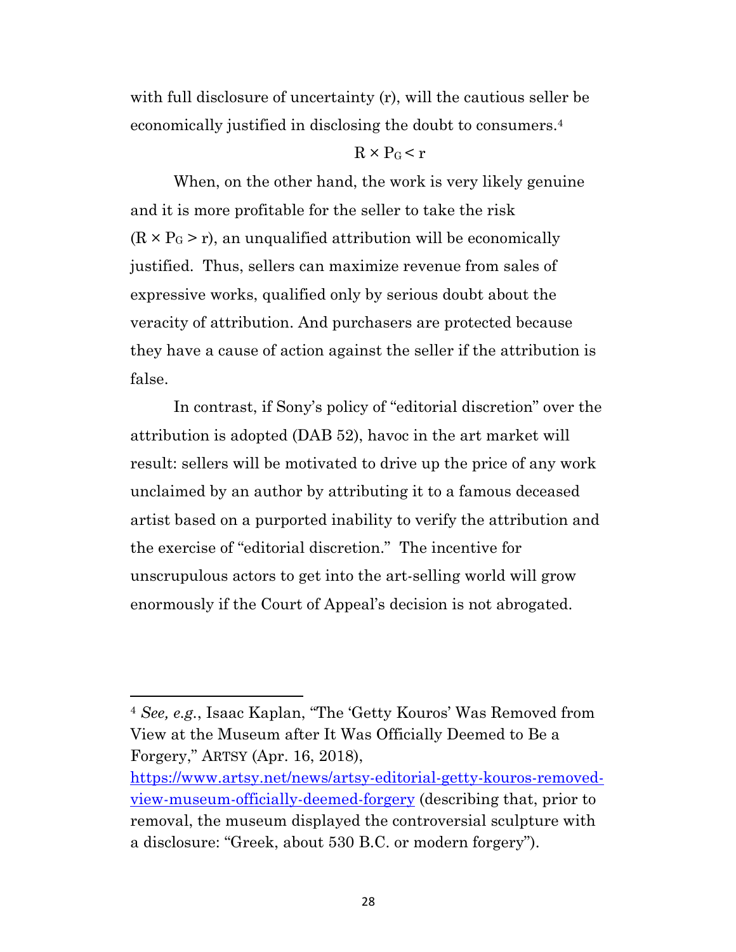with full disclosure of uncertainty (r), will the cautious seller be economically justified in disclosing the doubt to consumers.4

### $R \times P_G$  < r

When, on the other hand, the work is very likely genuine and it is more profitable for the seller to take the risk  $(R \times P_G > r)$ , an unqualified attribution will be economically justified. Thus, sellers can maximize revenue from sales of expressive works, qualified only by serious doubt about the veracity of attribution. And purchasers are protected because they have a cause of action against the seller if the attribution is false.

In contrast, if Sony's policy of "editorial discretion" over the attribution is adopted (DAB 52), havoc in the art market will result: sellers will be motivated to drive up the price of any work unclaimed by an author by attributing it to a famous deceased artist based on a purported inability to verify the attribution and the exercise of "editorial discretion." The incentive for unscrupulous actors to get into the art-selling world will grow enormously if the Court of Appeal's decision is not abrogated.

<sup>4</sup> *See, e.g.*, Isaac Kaplan, "The 'Getty Kouros' Was Removed from View at the Museum after It Was Officially Deemed to Be a Forgery," ARTSY (Apr. 16, 2018),

https://www.artsy.net/news/artsy-editorial-getty-kouros-removedview-museum-officially-deemed-forgery (describing that, prior to removal, the museum displayed the controversial sculpture with a disclosure: "Greek, about 530 B.C. or modern forgery").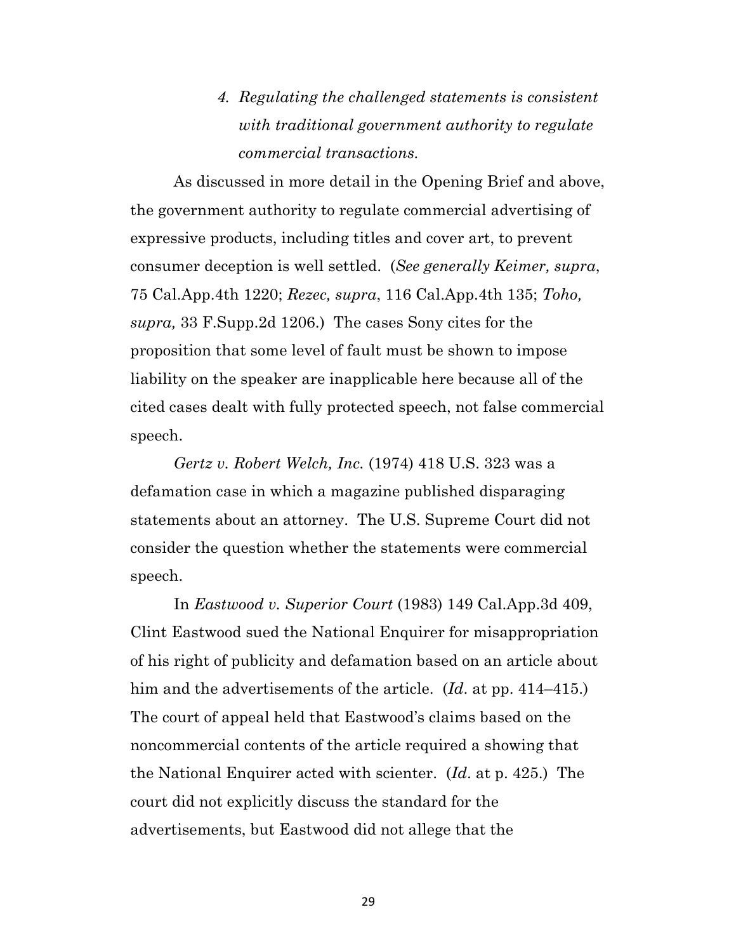*4. Regulating the challenged statements is consistent with traditional government authority to regulate commercial transactions.*

As discussed in more detail in the Opening Brief and above, the government authority to regulate commercial advertising of expressive products, including titles and cover art, to prevent consumer deception is well settled. (*See generally Keimer, supra*, 75 Cal.App.4th 1220; *Rezec, supra*, 116 Cal.App.4th 135; *Toho, supra,* 33 F.Supp.2d 1206.) The cases Sony cites for the proposition that some level of fault must be shown to impose liability on the speaker are inapplicable here because all of the cited cases dealt with fully protected speech, not false commercial speech.

*Gertz v. Robert Welch, Inc.* (1974) 418 U.S. 323 was a defamation case in which a magazine published disparaging statements about an attorney. The U.S. Supreme Court did not consider the question whether the statements were commercial speech.

In *Eastwood v. Superior Court* (1983) 149 Cal.App.3d 409, Clint Eastwood sued the National Enquirer for misappropriation of his right of publicity and defamation based on an article about him and the advertisements of the article. (*Id*. at pp. 414–415.) The court of appeal held that Eastwood's claims based on the noncommercial contents of the article required a showing that the National Enquirer acted with scienter. (*Id*. at p. 425.) The court did not explicitly discuss the standard for the advertisements, but Eastwood did not allege that the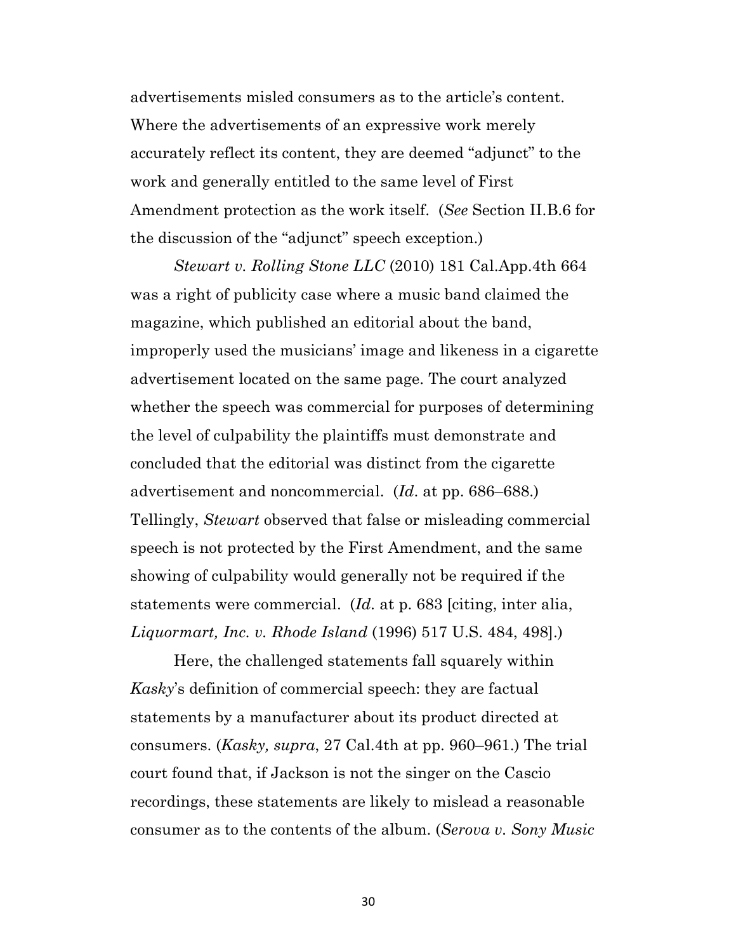advertisements misled consumers as to the article's content. Where the advertisements of an expressive work merely accurately reflect its content, they are deemed "adjunct" to the work and generally entitled to the same level of First Amendment protection as the work itself. (*See* Section II.B.6 for the discussion of the "adjunct" speech exception.)

*Stewart v. Rolling Stone LLC* (2010) 181 Cal.App.4th 664 was a right of publicity case where a music band claimed the magazine, which published an editorial about the band, improperly used the musicians' image and likeness in a cigarette advertisement located on the same page. The court analyzed whether the speech was commercial for purposes of determining the level of culpability the plaintiffs must demonstrate and concluded that the editorial was distinct from the cigarette advertisement and noncommercial. (*Id*. at pp. 686–688.) Tellingly, *Stewart* observed that false or misleading commercial speech is not protected by the First Amendment, and the same showing of culpability would generally not be required if the statements were commercial. (*Id.* at p. 683 [citing, inter alia, *Liquormart, Inc. v. Rhode Island* (1996) 517 U.S. 484, 498].)

Here, the challenged statements fall squarely within *Kasky*'s definition of commercial speech: they are factual statements by a manufacturer about its product directed at consumers. (*Kasky, supra*, 27 Cal.4th at pp. 960–961.) The trial court found that, if Jackson is not the singer on the Cascio recordings, these statements are likely to mislead a reasonable consumer as to the contents of the album. (*Serova v. Sony Music*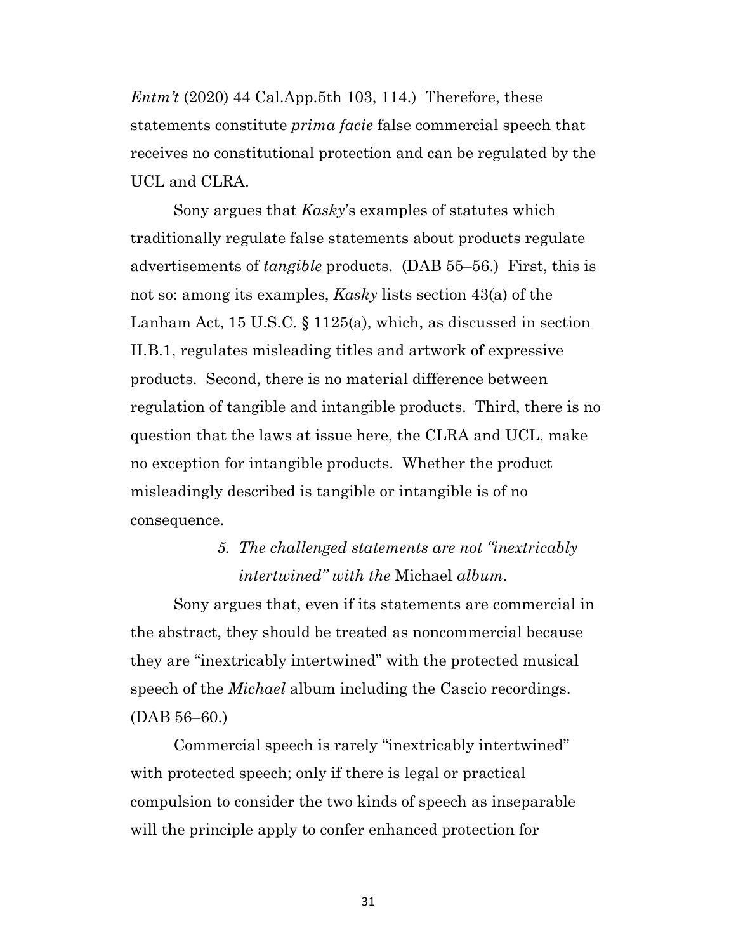*Entm't* (2020) 44 Cal.App.5th 103, 114.) Therefore, these statements constitute *prima facie* false commercial speech that receives no constitutional protection and can be regulated by the UCL and CLRA.

Sony argues that *Kasky*'s examples of statutes which traditionally regulate false statements about products regulate advertisements of *tangible* products. (DAB 55–56.) First, this is not so: among its examples, *Kasky* lists section 43(a) of the Lanham Act, 15 U.S.C. § 1125(a), which, as discussed in section II.B.1, regulates misleading titles and artwork of expressive products. Second, there is no material difference between regulation of tangible and intangible products. Third, there is no question that the laws at issue here, the CLRA and UCL, make no exception for intangible products. Whether the product misleadingly described is tangible or intangible is of no consequence.

# *5. The challenged statements are not "inextricably intertwined" with the* Michael *album.*

Sony argues that, even if its statements are commercial in the abstract, they should be treated as noncommercial because they are "inextricably intertwined" with the protected musical speech of the *Michael* album including the Cascio recordings. (DAB 56–60.)

Commercial speech is rarely "inextricably intertwined" with protected speech; only if there is legal or practical compulsion to consider the two kinds of speech as inseparable will the principle apply to confer enhanced protection for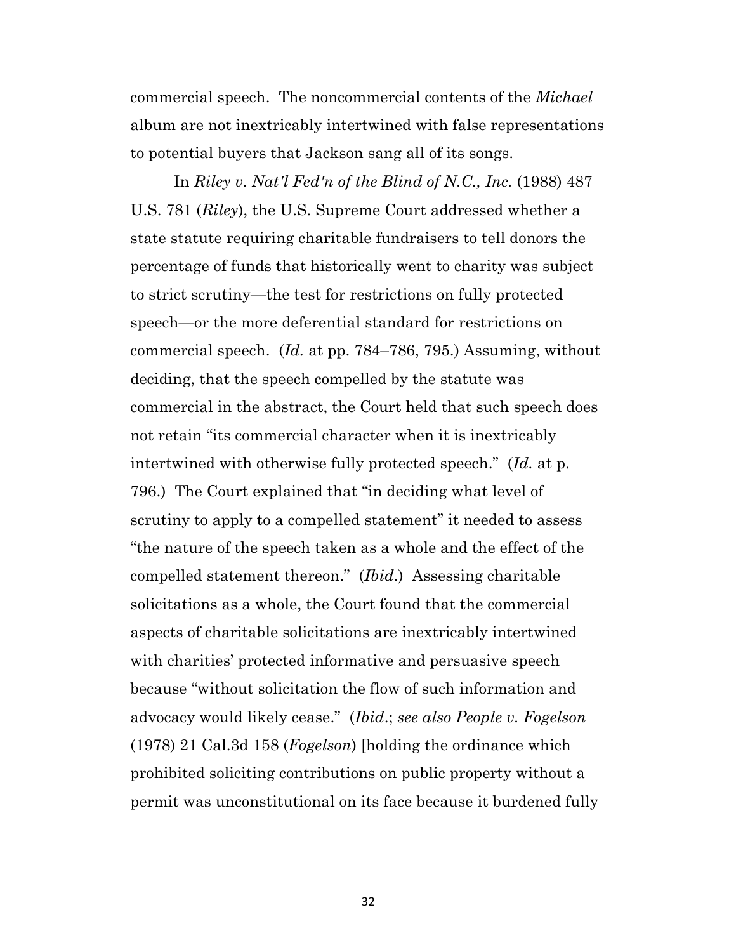commercial speech. The noncommercial contents of the *Michael* album are not inextricably intertwined with false representations to potential buyers that Jackson sang all of its songs.

In *Riley v. Nat'l Fed'n of the Blind of N.C., Inc.* (1988) 487 U.S. 781 (*Riley*), the U.S. Supreme Court addressed whether a state statute requiring charitable fundraisers to tell donors the percentage of funds that historically went to charity was subject to strict scrutiny—the test for restrictions on fully protected speech—or the more deferential standard for restrictions on commercial speech. (*Id.* at pp. 784–786, 795.) Assuming, without deciding, that the speech compelled by the statute was commercial in the abstract, the Court held that such speech does not retain "its commercial character when it is inextricably intertwined with otherwise fully protected speech." (*Id.* at p. 796.) The Court explained that "in deciding what level of scrutiny to apply to a compelled statement" it needed to assess "the nature of the speech taken as a whole and the effect of the compelled statement thereon." (*Ibid*.) Assessing charitable solicitations as a whole, the Court found that the commercial aspects of charitable solicitations are inextricably intertwined with charities' protected informative and persuasive speech because "without solicitation the flow of such information and advocacy would likely cease." (*Ibid*.; *see also People v. Fogelson* (1978) 21 Cal.3d 158 (*Fogelson*) [holding the ordinance which prohibited soliciting contributions on public property without a permit was unconstitutional on its face because it burdened fully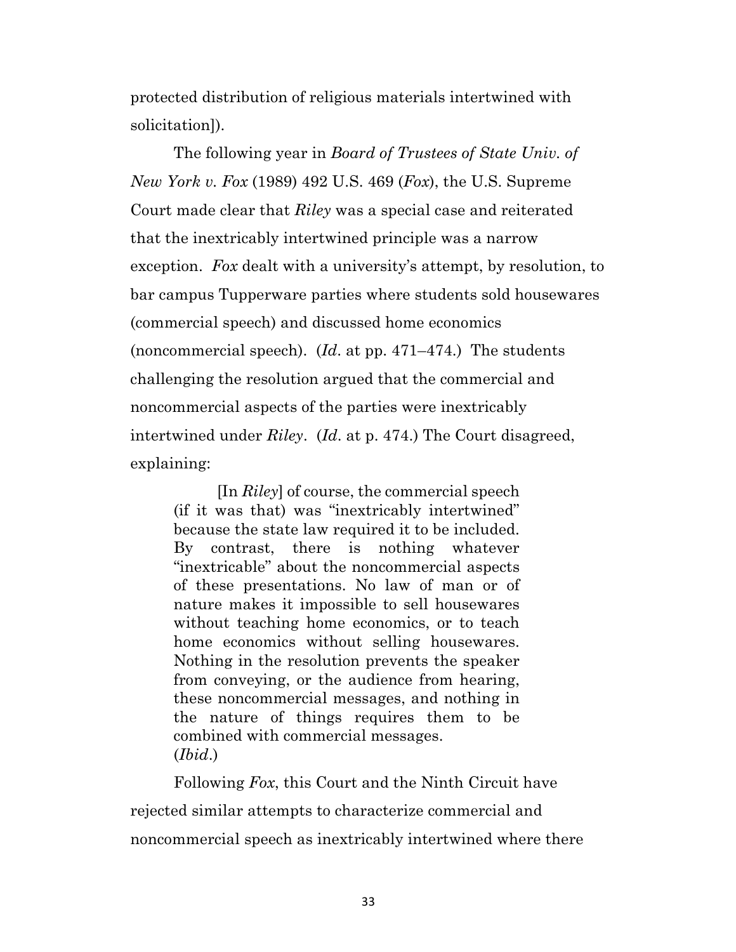protected distribution of religious materials intertwined with solicitation]).

The following year in *Board of Trustees of State Univ. of New York v. Fox* (1989) 492 U.S. 469 (*Fox*), the U.S. Supreme Court made clear that *Riley* was a special case and reiterated that the inextricably intertwined principle was a narrow exception. *Fox* dealt with a university's attempt, by resolution, to bar campus Tupperware parties where students sold housewares (commercial speech) and discussed home economics (noncommercial speech). (*Id*. at pp. 471–474.) The students challenging the resolution argued that the commercial and noncommercial aspects of the parties were inextricably intertwined under *Riley*. (*Id*. at p. 474.) The Court disagreed, explaining:

[In *Riley*] of course, the commercial speech (if it was that) was "inextricably intertwined" because the state law required it to be included. By contrast, there is nothing whatever "inextricable" about the noncommercial aspects of these presentations. No law of man or of nature makes it impossible to sell housewares without teaching home economics, or to teach home economics without selling housewares. Nothing in the resolution prevents the speaker from conveying, or the audience from hearing, these noncommercial messages, and nothing in the nature of things requires them to be combined with commercial messages. (*Ibid*.)

Following *Fox*, this Court and the Ninth Circuit have rejected similar attempts to characterize commercial and noncommercial speech as inextricably intertwined where there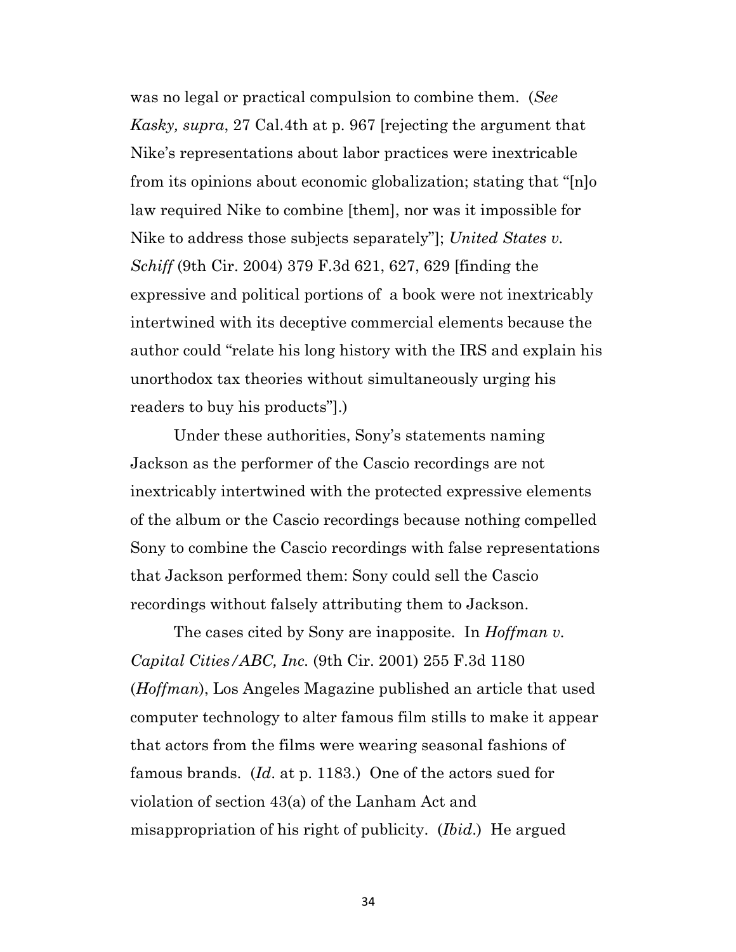was no legal or practical compulsion to combine them. (*See Kasky, supra*, 27 Cal.4th at p. 967 [rejecting the argument that Nike's representations about labor practices were inextricable from its opinions about economic globalization; stating that "[n]o law required Nike to combine [them], nor was it impossible for Nike to address those subjects separately"]; *United States v. Schiff* (9th Cir. 2004) 379 F.3d 621, 627, 629 [finding the expressive and political portions of a book were not inextricably intertwined with its deceptive commercial elements because the author could "relate his long history with the IRS and explain his unorthodox tax theories without simultaneously urging his readers to buy his products"].)

Under these authorities, Sony's statements naming Jackson as the performer of the Cascio recordings are not inextricably intertwined with the protected expressive elements of the album or the Cascio recordings because nothing compelled Sony to combine the Cascio recordings with false representations that Jackson performed them: Sony could sell the Cascio recordings without falsely attributing them to Jackson.

The cases cited by Sony are inapposite. In *Hoffman v. Capital Cities/ABC, Inc.* (9th Cir. 2001) 255 F.3d 1180 (*Hoffman*), Los Angeles Magazine published an article that used computer technology to alter famous film stills to make it appear that actors from the films were wearing seasonal fashions of famous brands. (*Id*. at p. 1183.) One of the actors sued for violation of section 43(a) of the Lanham Act and misappropriation of his right of publicity. (*Ibid*.) He argued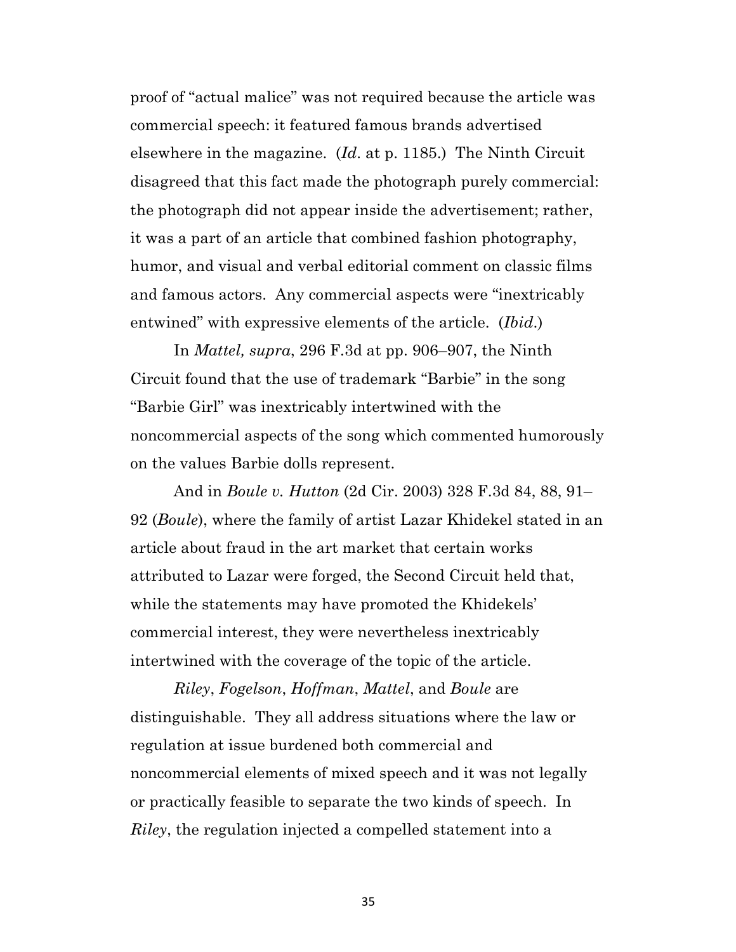proof of "actual malice" was not required because the article was commercial speech: it featured famous brands advertised elsewhere in the magazine. (*Id*. at p. 1185.) The Ninth Circuit disagreed that this fact made the photograph purely commercial: the photograph did not appear inside the advertisement; rather, it was a part of an article that combined fashion photography, humor, and visual and verbal editorial comment on classic films and famous actors. Any commercial aspects were "inextricably entwined" with expressive elements of the article. (*Ibid*.)

In *Mattel, supra*, 296 F.3d at pp. 906–907, the Ninth Circuit found that the use of trademark "Barbie" in the song "Barbie Girl" was inextricably intertwined with the noncommercial aspects of the song which commented humorously on the values Barbie dolls represent.

And in *Boule v. Hutton* (2d Cir. 2003) 328 F.3d 84, 88, 91– 92 (*Boule*), where the family of artist Lazar Khidekel stated in an article about fraud in the art market that certain works attributed to Lazar were forged, the Second Circuit held that, while the statements may have promoted the Khidekels' commercial interest, they were nevertheless inextricably intertwined with the coverage of the topic of the article.

*Riley*, *Fogelson*, *Hoffman*, *Mattel*, and *Boule* are distinguishable. They all address situations where the law or regulation at issue burdened both commercial and noncommercial elements of mixed speech and it was not legally or practically feasible to separate the two kinds of speech. In *Riley*, the regulation injected a compelled statement into a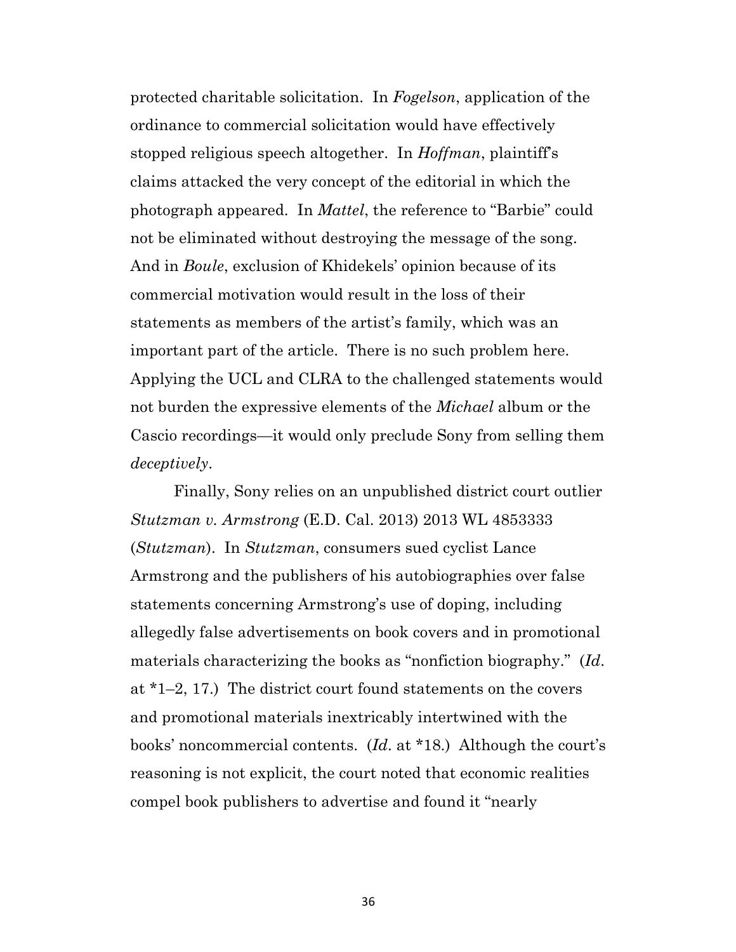protected charitable solicitation. In *Fogelson*, application of the ordinance to commercial solicitation would have effectively stopped religious speech altogether. In *Hoffman*, plaintiff's claims attacked the very concept of the editorial in which the photograph appeared. In *Mattel*, the reference to "Barbie" could not be eliminated without destroying the message of the song. And in *Boule*, exclusion of Khidekels' opinion because of its commercial motivation would result in the loss of their statements as members of the artist's family, which was an important part of the article. There is no such problem here. Applying the UCL and CLRA to the challenged statements would not burden the expressive elements of the *Michael* album or the Cascio recordings—it would only preclude Sony from selling them *deceptively*.

Finally, Sony relies on an unpublished district court outlier *Stutzman v. Armstrong* (E.D. Cal. 2013) 2013 WL 4853333 (*Stutzman*). In *Stutzman*, consumers sued cyclist Lance Armstrong and the publishers of his autobiographies over false statements concerning Armstrong's use of doping, including allegedly false advertisements on book covers and in promotional materials characterizing the books as "nonfiction biography." (*Id*. at \*1–2, 17.) The district court found statements on the covers and promotional materials inextricably intertwined with the books' noncommercial contents. (*Id*. at \*18.) Although the court's reasoning is not explicit, the court noted that economic realities compel book publishers to advertise and found it "nearly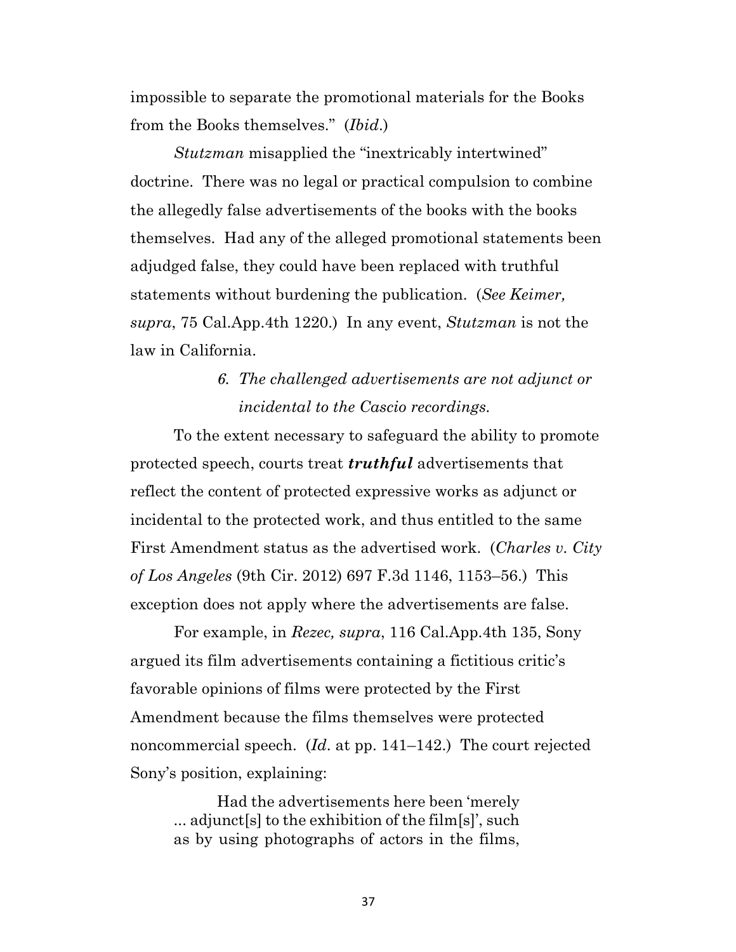impossible to separate the promotional materials for the Books from the Books themselves." (*Ibid*.)

*Stutzman* misapplied the "inextricably intertwined" doctrine. There was no legal or practical compulsion to combine the allegedly false advertisements of the books with the books themselves. Had any of the alleged promotional statements been adjudged false, they could have been replaced with truthful statements without burdening the publication. (*See Keimer, supra*, 75 Cal.App.4th 1220.) In any event, *Stutzman* is not the law in California.

## *6. The challenged advertisements are not adjunct or incidental to the Cascio recordings.*

To the extent necessary to safeguard the ability to promote protected speech, courts treat *truthful* advertisements that reflect the content of protected expressive works as adjunct or incidental to the protected work, and thus entitled to the same First Amendment status as the advertised work. (*Charles v. City of Los Angeles* (9th Cir. 2012) 697 F.3d 1146, 1153–56.) This exception does not apply where the advertisements are false.

For example, in *Rezec, supra*, 116 Cal.App.4th 135, Sony argued its film advertisements containing a fictitious critic's favorable opinions of films were protected by the First Amendment because the films themselves were protected noncommercial speech. (*Id*. at pp. 141–142.) The court rejected Sony's position, explaining:

Had the advertisements here been 'merely ... adjunct[s] to the exhibition of the film[s]', such as by using photographs of actors in the films,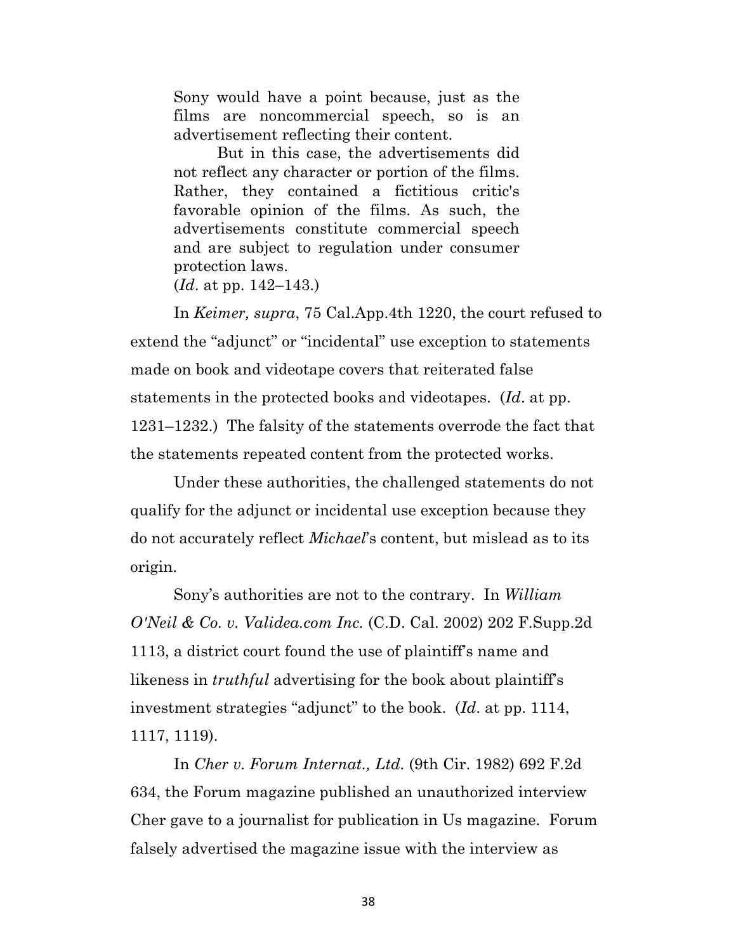Sony would have a point because, just as the films are noncommercial speech, so is an advertisement reflecting their content.

But in this case, the advertisements did not reflect any character or portion of the films. Rather, they contained a fictitious critic's favorable opinion of the films. As such, the advertisements constitute commercial speech and are subject to regulation under consumer protection laws.

(*Id*. at pp. 142–143.)

In *Keimer, supra*, 75 Cal.App.4th 1220, the court refused to extend the "adjunct" or "incidental" use exception to statements made on book and videotape covers that reiterated false statements in the protected books and videotapes. (*Id*. at pp. 1231–1232.) The falsity of the statements overrode the fact that the statements repeated content from the protected works.

Under these authorities, the challenged statements do not qualify for the adjunct or incidental use exception because they do not accurately reflect *Michael*'s content, but mislead as to its origin.

Sony's authorities are not to the contrary. In *William O'Neil & Co. v. Validea.com Inc.* (C.D. Cal. 2002) 202 F.Supp.2d 1113, a district court found the use of plaintiff's name and likeness in *truthful* advertising for the book about plaintiff's investment strategies "adjunct" to the book. (*Id*. at pp. 1114, 1117, 1119).

In *Cher v. Forum Internat., Ltd.* (9th Cir. 1982) 692 F.2d 634, the Forum magazine published an unauthorized interview Cher gave to a journalist for publication in Us magazine. Forum falsely advertised the magazine issue with the interview as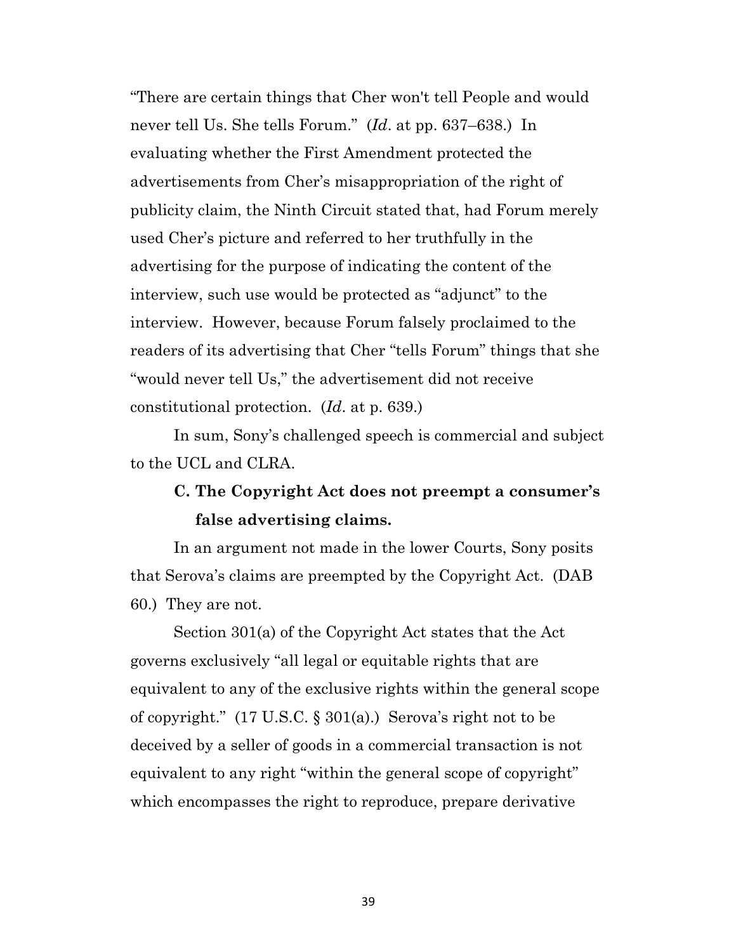"There are certain things that Cher won't tell People and would never tell Us. She tells Forum." (*Id*. at pp. 637–638.) In evaluating whether the First Amendment protected the advertisements from Cher's misappropriation of the right of publicity claim, the Ninth Circuit stated that, had Forum merely used Cher's picture and referred to her truthfully in the advertising for the purpose of indicating the content of the interview, such use would be protected as "adjunct" to the interview. However, because Forum falsely proclaimed to the readers of its advertising that Cher "tells Forum" things that she "would never tell Us," the advertisement did not receive constitutional protection. (*Id*. at p. 639.)

In sum, Sony's challenged speech is commercial and subject to the UCL and CLRA.

## **C. The Copyright Act does not preempt a consumer's false advertising claims.**

In an argument not made in the lower Courts, Sony posits that Serova's claims are preempted by the Copyright Act. (DAB 60.) They are not.

Section 301(a) of the Copyright Act states that the Act governs exclusively "all legal or equitable rights that are equivalent to any of the exclusive rights within the general scope of copyright." (17 U.S.C. § 301(a).) Serova's right not to be deceived by a seller of goods in a commercial transaction is not equivalent to any right "within the general scope of copyright" which encompasses the right to reproduce, prepare derivative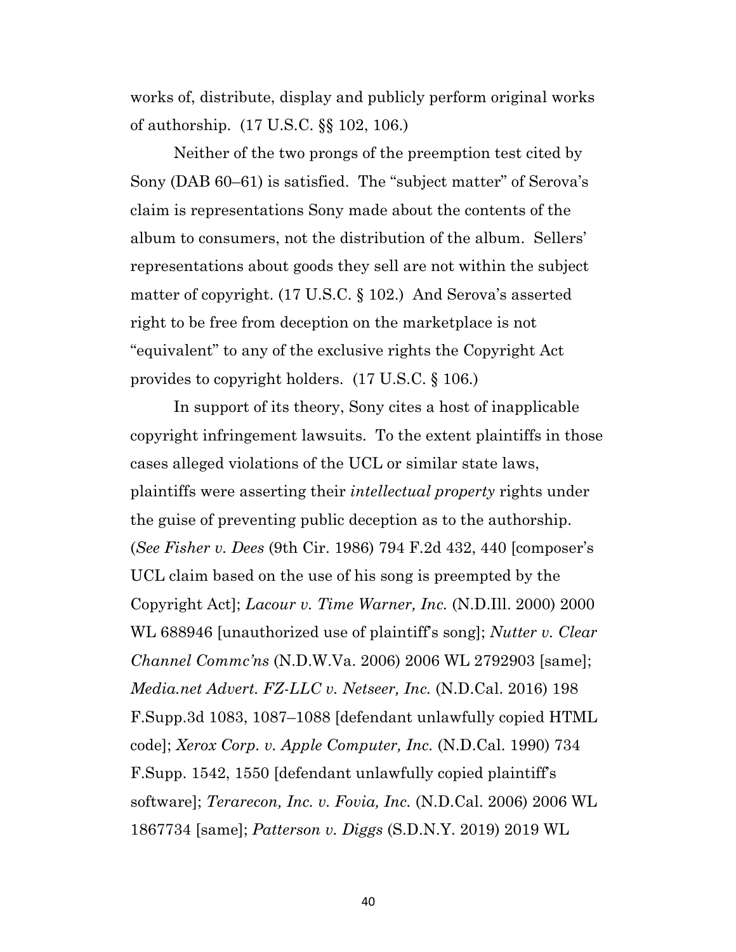works of, distribute, display and publicly perform original works of authorship. (17 U.S.C. §§ 102, 106.)

Neither of the two prongs of the preemption test cited by Sony (DAB 60–61) is satisfied. The "subject matter" of Serova's claim is representations Sony made about the contents of the album to consumers, not the distribution of the album. Sellers' representations about goods they sell are not within the subject matter of copyright. (17 U.S.C. § 102.) And Serova's asserted right to be free from deception on the marketplace is not "equivalent" to any of the exclusive rights the Copyright Act provides to copyright holders. (17 U.S.C. § 106.)

In support of its theory, Sony cites a host of inapplicable copyright infringement lawsuits. To the extent plaintiffs in those cases alleged violations of the UCL or similar state laws, plaintiffs were asserting their *intellectual property* rights under the guise of preventing public deception as to the authorship. (*See Fisher v. Dees* (9th Cir. 1986) 794 F.2d 432, 440 [composer's UCL claim based on the use of his song is preempted by the Copyright Act]; *Lacour v. Time Warner, Inc.* (N.D.Ill. 2000) 2000 WL 688946 [unauthorized use of plaintiff's song]; *Nutter v. Clear Channel Commc'ns* (N.D.W.Va. 2006) 2006 WL 2792903 [same]; *Media.net Advert. FZ-LLC v. Netseer, Inc.* (N.D.Cal. 2016) 198 F.Supp.3d 1083, 1087–1088 [defendant unlawfully copied HTML code]; *Xerox Corp. v. Apple Computer, Inc.* (N.D.Cal. 1990) 734 F.Supp. 1542, 1550 [defendant unlawfully copied plaintiff's software]; *Terarecon, Inc. v. Fovia, Inc.* (N.D.Cal. 2006) 2006 WL 1867734 [same]; *Patterson v. Diggs* (S.D.N.Y. 2019) 2019 WL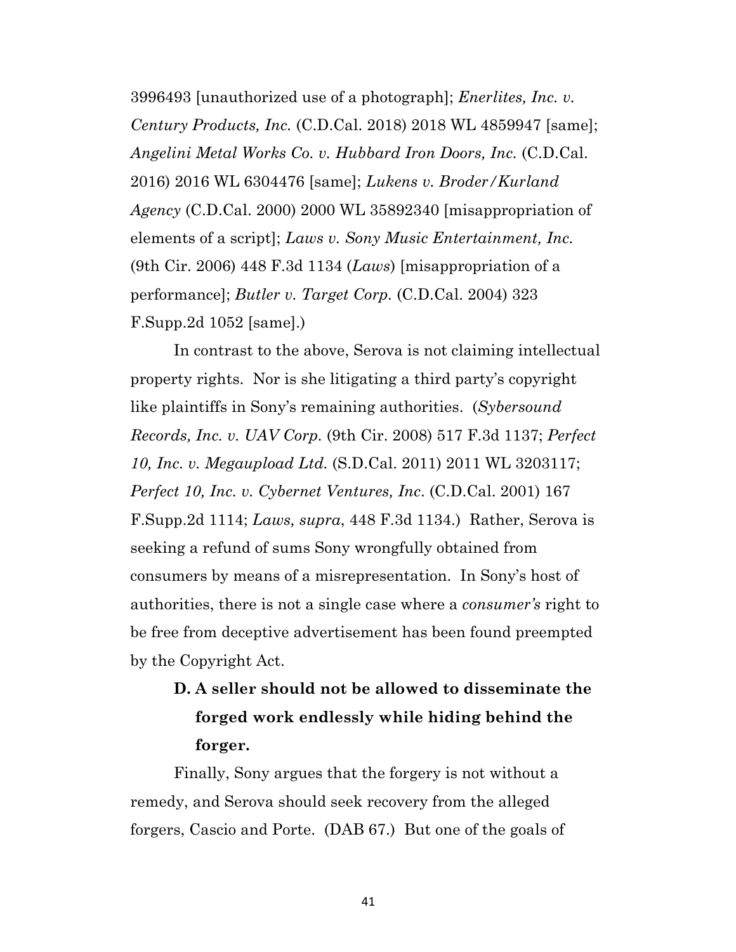3996493 [unauthorized use of a photograph]; *Enerlites, Inc. v. Century Products, Inc.* (C.D.Cal. 2018) 2018 WL 4859947 [same]; *Angelini Metal Works Co. v. Hubbard Iron Doors, Inc.* (C.D.Cal. 2016) 2016 WL 6304476 [same]; *Lukens v. Broder/Kurland Agency* (C.D.Cal. 2000) 2000 WL 35892340 [misappropriation of elements of a script]; *Laws v. Sony Music Entertainment, Inc.* (9th Cir. 2006) 448 F.3d 1134 (*Laws*) [misappropriation of a performance]; *Butler v. Target Corp.* (C.D.Cal. 2004) 323 F.Supp.2d 1052 [same].)

In contrast to the above, Serova is not claiming intellectual property rights. Nor is she litigating a third party's copyright like plaintiffs in Sony's remaining authorities. (*Sybersound Records, Inc. v. UAV Corp.* (9th Cir. 2008) 517 F.3d 1137; *Perfect 10, Inc. v. Megaupload Ltd.* (S.D.Cal. 2011) 2011 WL 3203117; *Perfect 10, Inc. v. Cybernet Ventures, Inc*. (C.D.Cal. 2001) 167 F.Supp.2d 1114; *Laws, supra*, 448 F.3d 1134.) Rather, Serova is seeking a refund of sums Sony wrongfully obtained from consumers by means of a misrepresentation. In Sony's host of authorities, there is not a single case where a *consumer's* right to be free from deceptive advertisement has been found preempted by the Copyright Act.

# **D. A seller should not be allowed to disseminate the forged work endlessly while hiding behind the forger.**

Finally, Sony argues that the forgery is not without a remedy, and Serova should seek recovery from the alleged forgers, Cascio and Porte. (DAB 67.) But one of the goals of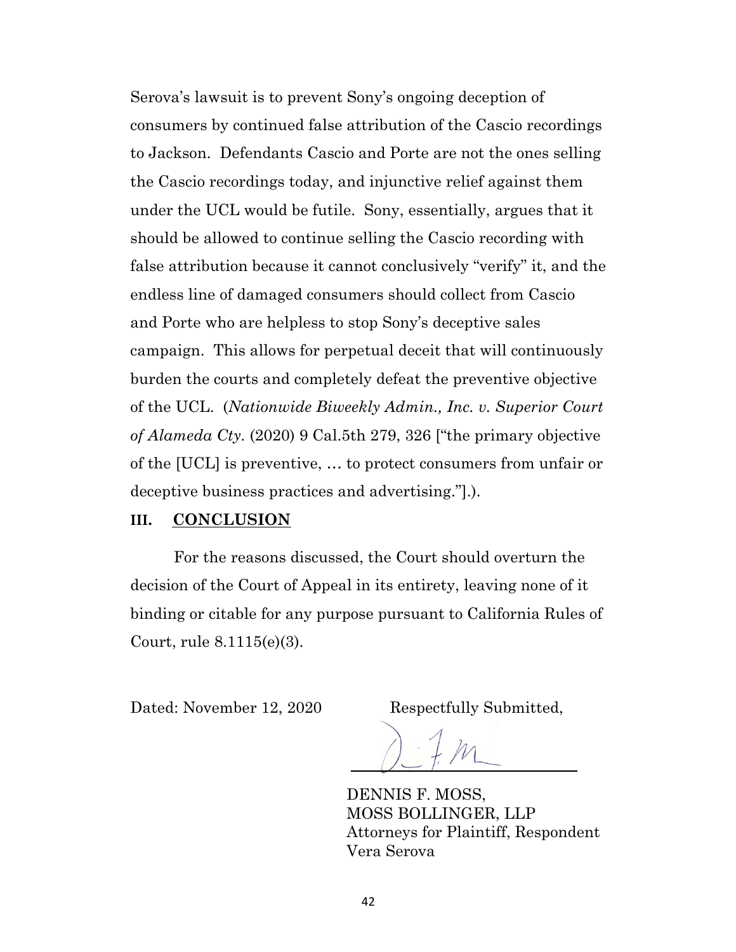Serova's lawsuit is to prevent Sony's ongoing deception of consumers by continued false attribution of the Cascio recordings to Jackson. Defendants Cascio and Porte are not the ones selling the Cascio recordings today, and injunctive relief against them under the UCL would be futile. Sony, essentially, argues that it should be allowed to continue selling the Cascio recording with false attribution because it cannot conclusively "verify" it, and the endless line of damaged consumers should collect from Cascio and Porte who are helpless to stop Sony's deceptive sales campaign. This allows for perpetual deceit that will continuously burden the courts and completely defeat the preventive objective of the UCL. (*Nationwide Biweekly Admin., Inc. v. Superior Court of Alameda Cty.* (2020) 9 Cal.5th 279, 326 ["the primary objective of the [UCL] is preventive, … to protect consumers from unfair or deceptive business practices and advertising."].).

#### **III. CONCLUSION**

For the reasons discussed, the Court should overturn the decision of the Court of Appeal in its entirety, leaving none of it binding or citable for any purpose pursuant to California Rules of Court, rule 8.1115(e)(3).

Dated: November 12, 2020 Respectfully Submitted,

 $\bigcup$   $\bigcup$   $\bigcap$   $\bigcap$ 

DENNIS F. MOSS, MOSS BOLLINGER, LLP Attorneys for Plaintiff, Respondent Vera Serova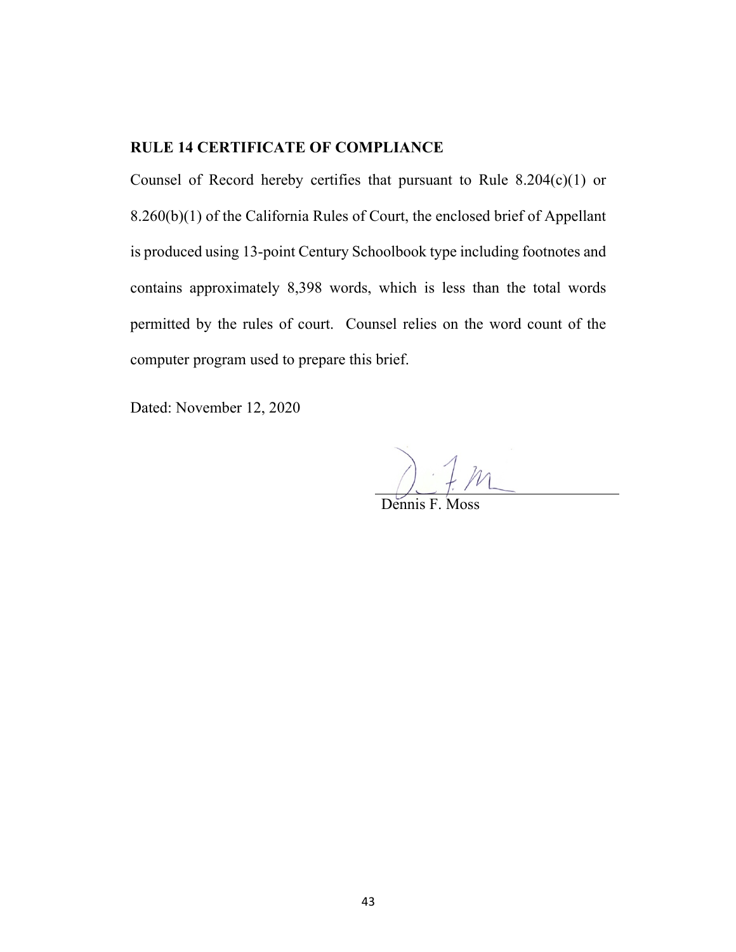### **RULE 14 CERTIFICATE OF COMPLIANCE**

Counsel of Record hereby certifies that pursuant to Rule 8.204(c)(1) or 8.260(b)(1) of the California Rules of Court, the enclosed brief of Appellant is produced using 13-point Century Schoolbook type including footnotes and contains approximately 8,398 words, which is less than the total words permitted by the rules of court. Counsel relies on the word count of the computer program used to prepare this brief.

Dated: November 12, 2020

 $M$ 

Dennis F. Moss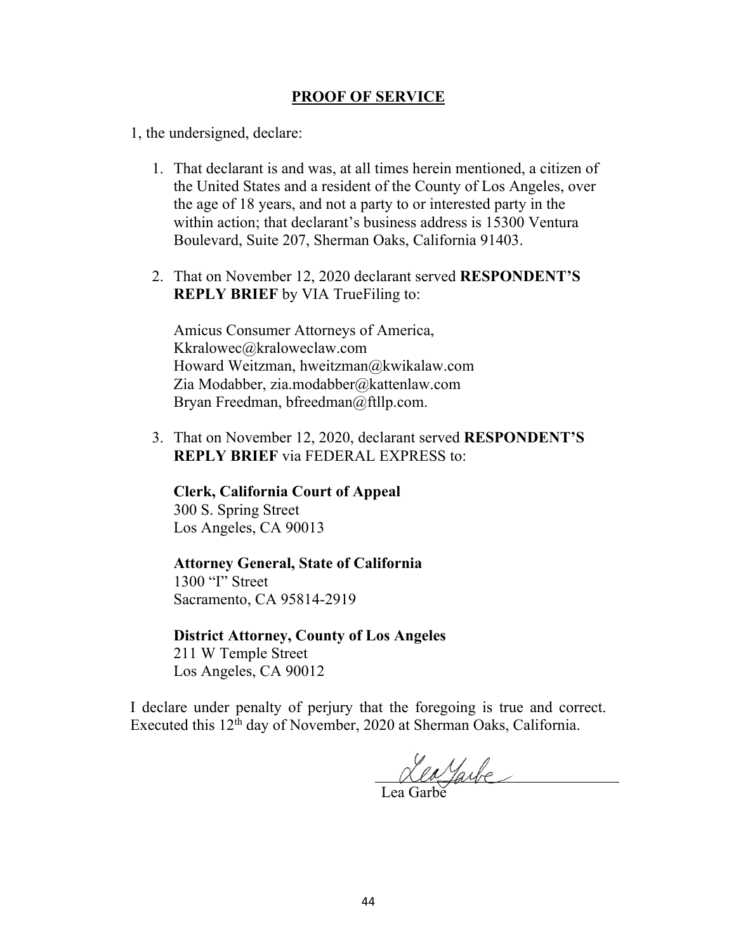#### **PROOF OF SERVICE**

1, the undersigned, declare:

- 1. That declarant is and was, at all times herein mentioned, a citizen of the United States and a resident of the County of Los Angeles, over the age of 18 years, and not a party to or interested party in the within action; that declarant's business address is 15300 Ventura Boulevard, Suite 207, Sherman Oaks, California 91403.
- 2. That on November 12, 2020 declarant served **RESPONDENT'S REPLY BRIEF** by VIA TrueFiling to:

Amicus Consumer Attorneys of America, Kkralowec@kraloweclaw.com Howard Weitzman, hweitzman@kwikalaw.com Zia Modabber, zia.modabber@kattenlaw.com Bryan Freedman, bfreedman@ftllp.com.

3. That on November 12, 2020, declarant served **RESPONDENT'S REPLY BRIEF** via FEDERAL EXPRESS to:

**Clerk, California Court of Appeal** 300 S. Spring Street Los Angeles, CA 90013

#### **Attorney General, State of California**

1300 "I" Street Sacramento, CA 95814-2919

**District Attorney, County of Los Angeles** 211 W Temple Street Los Angeles, CA 90012

I declare under penalty of perjury that the foregoing is true and correct. Executed this 12<sup>th</sup> day of November, 2020 at Sherman Oaks, California.

Leayarbe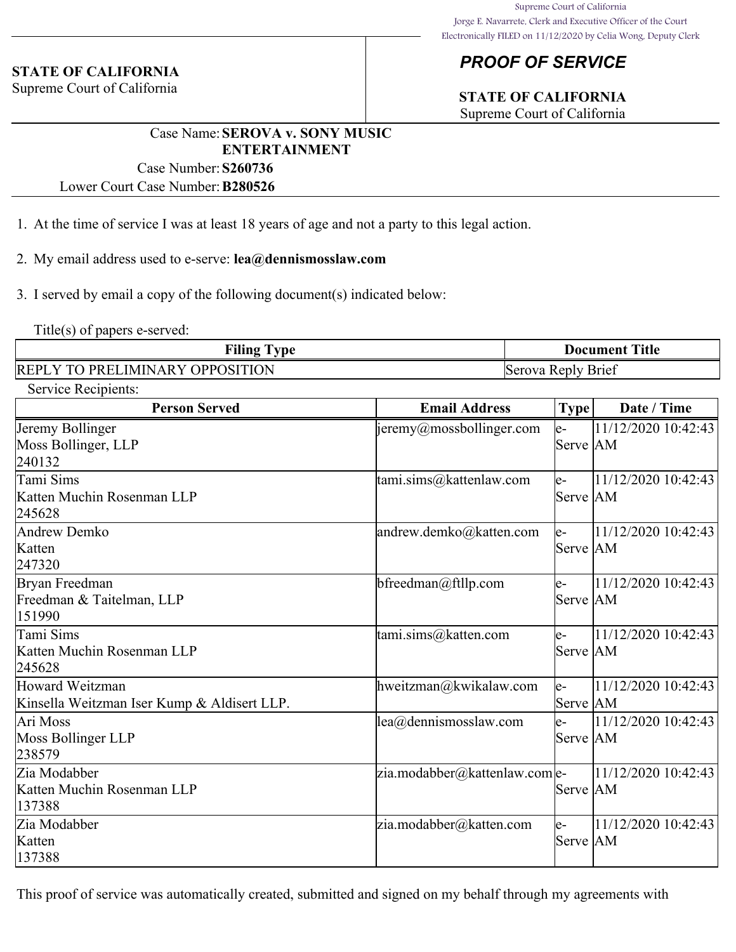#### **STATE OF CALIFORNIA**

Supreme Court of California

### *PROOF OF SERVICE*

## **STATE OF CALIFORNIA**

Supreme Court of California

### Case Name:**SEROVA v. SONY MUSIC ENTERTAINMENT**

Case Number:**S260736** Lower Court Case Number:**B280526**

- 1. At the time of service I was at least 18 years of age and not a party to this legal action.
- 2. My email address used to e-serve: **lea@dennismosslaw.com**
- 3. I served by email a copy of the following document(s) indicated below:

Title(s) of papers e-served:

| <b>Filing Type</b>                     | <b>Document Title</b> |
|----------------------------------------|-----------------------|
| <b>REPLY TO PRELIMINARY OPPOSITION</b> | Serova Reply Brief    |

| Service Recipients: |
|---------------------|
|---------------------|

| <b>Person Served</b>                                           | <b>Email Address</b>          | <b>Type</b>      | Date / Time           |
|----------------------------------------------------------------|-------------------------------|------------------|-----------------------|
| Jeremy Bollinger<br>Moss Bollinger, LLP<br>240132              | jeremy@mossbollinger.com      | le-<br>Serve AM  | 11/12/2020 10:42:43   |
| Tami Sims<br>Katten Muchin Rosenman LLP<br>245628              | tami.sims@kattenlaw.com       | $e-$<br>Serve AM | 11/12/2020 10:42:43   |
| Andrew Demko<br>Katten<br>247320                               | andrew.demko@katten.com       | $e-$<br>Serve AM | 11/12/2020 10:42:43   |
| Bryan Freedman<br>Freedman & Taitelman, LLP<br>151990          | $b$ freedman@ftllp.com        | $e-$<br>Serve AM | 11/12/2020 10:42:43   |
| Tami Sims<br>Katten Muchin Rosenman LLP<br>245628              | tami.sims@katten.com          | $e-$<br>Serve AM | 11/12/2020 10:42:43   |
| Howard Weitzman<br>Kinsella Weitzman Iser Kump & Aldisert LLP. | hweitzman@kwikalaw.com        | $e-$<br>Serve AM | 11/12/2020 10:42:43   |
| Ari Moss<br>Moss Bollinger LLP<br>238579                       | lea@dennismosslaw.com         | le-<br>Serve AM  | $11/12/2020$ 10:42:43 |
| Zia Modabber<br>Katten Muchin Rosenman LLP<br>137388           | zia.modabber@kattenlaw.com e- | Serve AM         | 11/12/2020 10:42:43   |
| Zia Modabber<br>Katten<br>137388                               | zia.modabber@katten.com       | le-<br>Serve AM  | 11/12/2020 10:42:43   |

This proof of service was automatically created, submitted and signed on my behalf through my agreements with